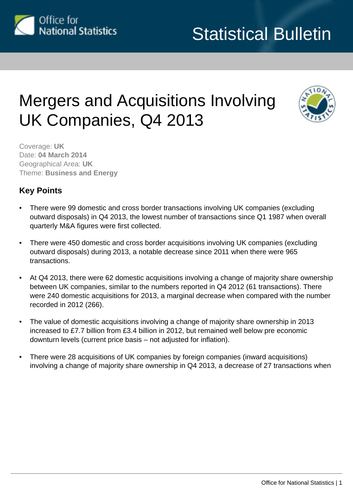

## Mergers and Acquisitions Involving UK Companies, Q4 2013



Coverage: **UK** Date: **04 March 2014** Geographical Area: **UK** Theme: **Business and Energy**

#### **Key Points**

- There were 99 domestic and cross border transactions involving UK companies (excluding outward disposals) in Q4 2013, the lowest number of transactions since Q1 1987 when overall quarterly M&A figures were first collected.
- There were 450 domestic and cross border acquisitions involving UK companies (excluding outward disposals) during 2013, a notable decrease since 2011 when there were 965 transactions.
- At Q4 2013, there were 62 domestic acquisitions involving a change of majority share ownership between UK companies, similar to the numbers reported in Q4 2012 (61 transactions). There were 240 domestic acquisitions for 2013, a marginal decrease when compared with the number recorded in 2012 (266).
- The value of domestic acquisitions involving a change of majority share ownership in 2013 increased to £7.7 billion from £3.4 billion in 2012, but remained well below pre economic downturn levels (current price basis – not adjusted for inflation).
- There were 28 acquisitions of UK companies by foreign companies (inward acquisitions) involving a change of majority share ownership in Q4 2013, a decrease of 27 transactions when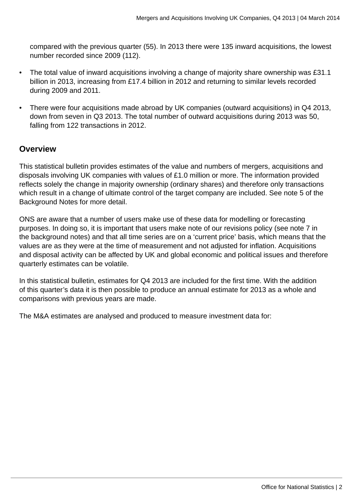compared with the previous quarter (55). In 2013 there were 135 inward acquisitions, the lowest number recorded since 2009 (112).

- The total value of inward acquisitions involving a change of majority share ownership was £31.1 billion in 2013, increasing from £17.4 billion in 2012 and returning to similar levels recorded during 2009 and 2011.
- There were four acquisitions made abroad by UK companies (outward acquisitions) in Q4 2013, down from seven in Q3 2013. The total number of outward acquisitions during 2013 was 50, falling from 122 transactions in 2012.

#### **Overview**

This statistical bulletin provides estimates of the value and numbers of mergers, acquisitions and disposals involving UK companies with values of £1.0 million or more. The information provided reflects solely the change in majority ownership (ordinary shares) and therefore only transactions which result in a change of ultimate control of the target company are included. See note 5 of the Background Notes for more detail.

ONS are aware that a number of users make use of these data for modelling or forecasting purposes. In doing so, it is important that users make note of our revisions policy (see note 7 in the background notes) and that all time series are on a 'current price' basis, which means that the values are as they were at the time of measurement and not adjusted for inflation. Acquisitions and disposal activity can be affected by UK and global economic and political issues and therefore quarterly estimates can be volatile.

In this statistical bulletin, estimates for Q4 2013 are included for the first time. With the addition of this quarter's data it is then possible to produce an annual estimate for 2013 as a whole and comparisons with previous years are made.

The M&A estimates are analysed and produced to measure investment data for: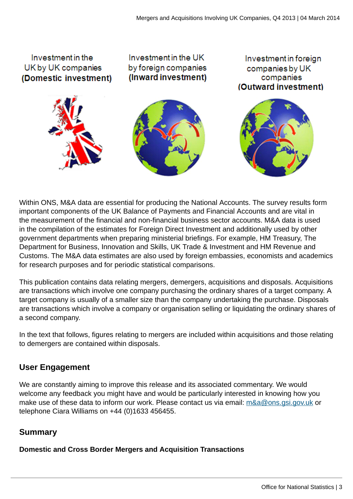

Within ONS, M&A data are essential for producing the National Accounts. The survey results form important components of the UK Balance of Payments and Financial Accounts and are vital in the measurement of the financial and non-financial business sector accounts. M&A data is used in the compilation of the estimates for Foreign Direct Investment and additionally used by other government departments when preparing ministerial briefings. For example, HM Treasury, The Department for Business, Innovation and Skills, UK Trade & Investment and HM Revenue and Customs. The M&A data estimates are also used by foreign embassies, economists and academics for research purposes and for periodic statistical comparisons.

This publication contains data relating mergers, demergers, acquisitions and disposals. Acquisitions are transactions which involve one company purchasing the ordinary shares of a target company. A target company is usually of a smaller size than the company undertaking the purchase. Disposals are transactions which involve a company or organisation selling or liquidating the ordinary shares of a second company.

In the text that follows, figures relating to mergers are included within acquisitions and those relating to demergers are contained within disposals.

#### **User Engagement**

We are constantly aiming to improve this release and its associated commentary. We would welcome any feedback you might have and would be particularly interested in knowing how you make use of these data to inform our work. Please contact us via email: [m&a@ons.gsi.gov.uk](mailto:m&a@ons.gsi.gov.uk) or telephone Ciara Williams on +44 (0)1633 456455.

#### **Summary**

**Domestic and Cross Border Mergers and Acquisition Transactions**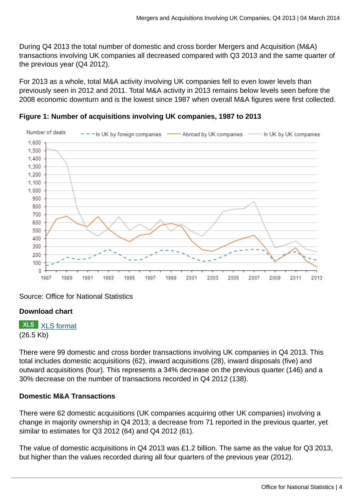During Q4 2013 the total number of domestic and cross border Mergers and Acquisition (M&A) transactions involving UK companies all decreased compared with Q3 2013 and the same quarter of the previous year (Q4 2012).

For 2013 as a whole, total M&A activity involving UK companies fell to even lower levels than previously seen in 2012 and 2011. Total M&A activity in 2013 remains below levels seen before the 2008 economic downturn and is the lowest since 1987 when overall M&A figures were first collected.



**Figure 1: Number of acquisitions involving UK companies, 1987 to 2013**

Source: Office for National Statistics

#### **Download chart**

**XLS** [XLS format](http://www.ons.gov.uk:80/ons/rel/international-transactions/mergers-and-acquisitions-involving-uk-companies/q4-2013/chd-m-a-summary-figure.xls) (26.5 Kb)

There were 99 domestic and cross border transactions involving UK companies in Q4 2013. This total includes domestic acquisitions (62), inward acquisitions (28), inward disposals (five) and outward acquisitions (four). This represents a 34% decrease on the previous quarter (146) and a 30% decrease on the number of transactions recorded in Q4 2012 (138).

#### **Domestic M&A Transactions**

There were 62 domestic acquisitions (UK companies acquiring other UK companies) involving a change in majority ownership in Q4 2013; a decrease from 71 reported in the previous quarter, yet similar to estimates for Q3 2012 (64) and Q4 2012 (61).

The value of domestic acquisitions in Q4 2013 was £1.2 billion. The same as the value for Q3 2013, but higher than the values recorded during all four quarters of the previous year (2012).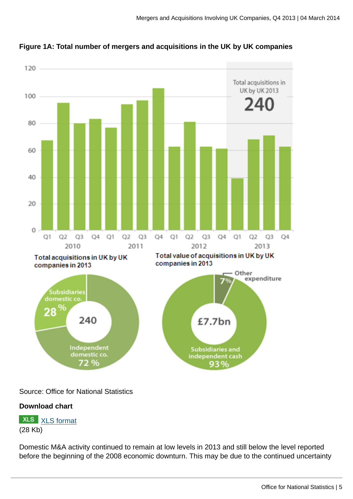![](_page_4_Figure_1.jpeg)

**Figure 1A: Total number of mergers and acquisitions in the UK by UK companies**

Source: Office for National Statistics

#### **Download chart**

**XLS** [XLS format](http://www.ons.gov.uk:80/ons/rel/international-transactions/mergers-and-acquisitions-involving-uk-companies/q4-2013/chd-m-a-summary-fig-1a.xls) (28 Kb)

Domestic M&A activity continued to remain at low levels in 2013 and still below the level reported before the beginning of the 2008 economic downturn. This may be due to the continued uncertainty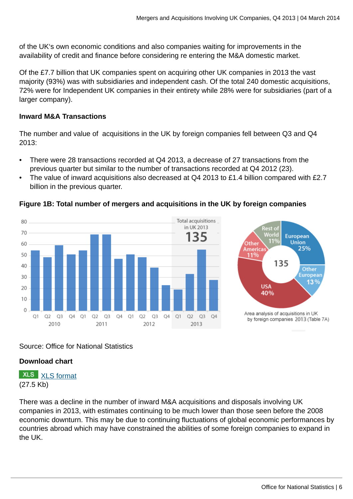of the UK's own economic conditions and also companies waiting for improvements in the availability of credit and finance before considering re entering the M&A domestic market.

Of the £7.7 billion that UK companies spent on acquiring other UK companies in 2013 the vast majority (93%) was with subsidiaries and independent cash. Of the total 240 domestic acquisitions, 72% were for Independent UK companies in their entirety while 28% were for subsidiaries (part of a larger company).

#### **Inward M&A Transactions**

The number and value of acquisitions in the UK by foreign companies fell between Q3 and Q4 2013:

- There were 28 transactions recorded at Q4 2013, a decrease of 27 transactions from the previous quarter but similar to the number of transactions recorded at Q4 2012 (23).
- The value of inward acquisitions also decreased at O4 2013 to £1.4 billion compared with £2.7 billion in the previous quarter.

#### Total acquisitions 80 in UK 2013 70 35 60 50 40  $30$  $20$  $10$  $\Omega$  $O1$  $O2$   $O3$ Q4 Q1 Q2 Q3 Q4 Q1 Q2  $O3$  $O<sub>4</sub>$  $O1$  $O2$   $O3$  $O<sub>4</sub>$ 2010 2011 2012 2013

#### **Figure 1B: Total number of mergers and acquisitions in the UK by foreign companies**

![](_page_5_Figure_9.jpeg)

#### Source: Office for National Statistics

#### **Download chart**

**XLS** [XLS format](http://www.ons.gov.uk:80/ons/rel/international-transactions/mergers-and-acquisitions-involving-uk-companies/q4-2013/chd-m-a-summary-fig-1b.xls) (27.5 Kb)

There was a decline in the number of inward M&A acquisitions and disposals involving UK companies in 2013, with estimates continuing to be much lower than those seen before the 2008 economic downturn. This may be due to continuing fluctuations of global economic performances by countries abroad which may have constrained the abilities of some foreign companies to expand in the UK.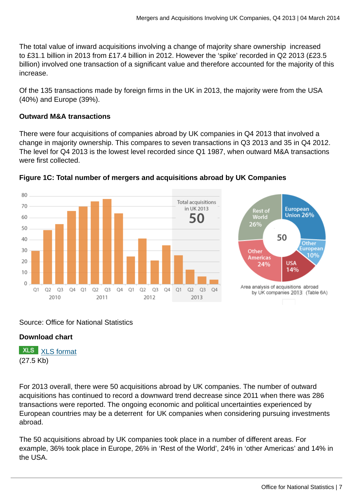The total value of inward acquisitions involving a change of majority share ownership increased to £31.1 billion in 2013 from £17.4 billion in 2012. However the 'spike' recorded in Q2 2013 (£23.5 billion) involved one transaction of a significant value and therefore accounted for the majority of this increase.

Of the 135 transactions made by foreign firms in the UK in 2013, the majority were from the USA (40%) and Europe (39%).

#### **Outward M&A transactions**

There were four acquisitions of companies abroad by UK companies in Q4 2013 that involved a change in majority ownership. This compares to seven transactions in Q3 2013 and 35 in Q4 2012. The level for Q4 2013 is the lowest level recorded since Q1 1987, when outward M&A transactions were first collected.

![](_page_6_Figure_5.jpeg)

![](_page_6_Figure_6.jpeg)

#### Source: Office for National Statistics

#### **Download chart**

**XLS** [XLS format](http://www.ons.gov.uk:80/ons/rel/international-transactions/mergers-and-acquisitions-involving-uk-companies/q4-2013/chd-m-a-summary-fig-1c.xls) (27.5 Kb)

For 2013 overall, there were 50 acquisitions abroad by UK companies. The number of outward acquisitions has continued to record a downward trend decrease since 2011 when there was 286 transactions were reported. The ongoing economic and political uncertainties experienced by European countries may be a deterrent for UK companies when considering pursuing investments abroad.

The 50 acquisitions abroad by UK companies took place in a number of different areas. For example, 36% took place in Europe, 26% in 'Rest of the World', 24% in 'other Americas' and 14% in the USA.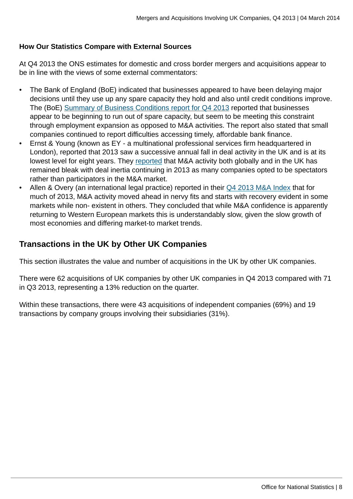#### **How Our Statistics Compare with External Sources**

At Q4 2013 the ONS estimates for domestic and cross border mergers and acquisitions appear to be in line with the views of some external commentators:

- The Bank of England (BoE) indicated that businesses appeared to have been delaying major decisions until they use up any spare capacity they hold and also until credit conditions improve. The (BoE) [Summary of Business Conditions report for Q4 2013](http://www.bankofengland.co.uk/publications/Documents/agentssummary/2014/agsum14jan.pdf) reported that businesses appear to be beginning to run out of spare capacity, but seem to be meeting this constraint through employment expansion as opposed to M&A activities. The report also stated that small companies continued to report difficulties accessing timely, affordable bank finance.
- Ernst & Young (known as EY a multinational professional services firm headquartered in London), reported that 2013 saw a successive annual fall in deal activity in the UK and is at its lowest level for eight years. They [reported](http://www.ey.com/UK/en/Newsroom/News-releases/13-12-16) that M&A activity both globally and in the UK has remained bleak with deal inertia continuing in 2013 as many companies opted to be spectators rather than participators in the M&A market.
- Allen & Overy (an international legal practice) reported in their [Q4 2013 M&A Index](http://www.allenovery.com/publications/en-gb/maindex/Pages/Downloads.aspx) that for much of 2013, M&A activity moved ahead in nervy fits and starts with recovery evident in some markets while non- existent in others. They concluded that while M&A confidence is apparently returning to Western European markets this is understandably slow, given the slow growth of most economies and differing market-to market trends.

#### **Transactions in the UK by Other UK Companies**

This section illustrates the value and number of acquisitions in the UK by other UK companies.

There were 62 acquisitions of UK companies by other UK companies in Q4 2013 compared with 71 in Q3 2013, representing a 13% reduction on the quarter.

Within these transactions, there were 43 acquisitions of independent companies (69%) and 19 transactions by company groups involving their subsidiaries (31%).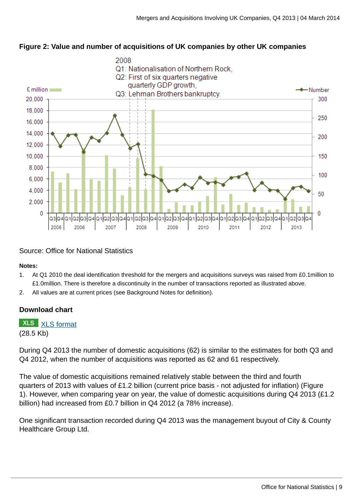![](_page_8_Figure_1.jpeg)

![](_page_8_Figure_2.jpeg)

#### Source: Office for National Statistics

#### **Notes:**

- 1. At Q1 2010 the deal identification threshold for the mergers and acquisitions surveys was raised from £0.1million to £1.0million. There is therefore a discontinuity in the number of transactions reported as illustrated above.
- 2. All values are at current prices (see Background Notes for definition).

#### **Download chart**

**XLS** [XLS format](http://www.ons.gov.uk:80/ons/rel/international-transactions/mergers-and-acquisitions-involving-uk-companies/q4-2013/chd-m-a-fig-1.xls)

(28.5 Kb)

During Q4 2013 the number of domestic acquisitions (62) is similar to the estimates for both Q3 and Q4 2012, when the number of acquisitions was reported as 62 and 61 respectively.

The value of domestic acquisitions remained relatively stable between the third and fourth quarters of 2013 with values of £1.2 billion (current price basis - not adjusted for inflation) (Figure 1). However, when comparing year on year, the value of domestic acquisitions during Q4 2013 (£1.2 billion) had increased from £0.7 billion in Q4 2012 (a 78% increase).

One significant transaction recorded during Q4 2013 was the management buyout of City & County Healthcare Group Ltd.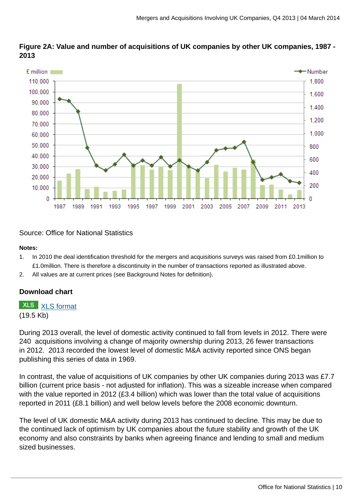![](_page_9_Figure_1.jpeg)

**Figure 2A: Value and number of acquisitions of UK companies by other UK companies, 1987 - 2013**

Source: Office for National Statistics

#### **Notes:**

- 1. In 2010 the deal identification threshold for the mergers and acquisitions surveys was raised from £0.1million to £1.0million. There is therefore a discontinuity in the number of transactions reported as illustrated above.
- 2. All values are at current prices (see Background Notes for definition).

#### **Download chart**

#### **XLS** [XLS format](http://www.ons.gov.uk:80/ons/rel/international-transactions/mergers-and-acquisitions-involving-uk-companies/q4-2013/chd-m-a-fig-1a.xls)

#### (19.5 Kb)

During 2013 overall, the level of domestic activity continued to fall from levels in 2012. There were 240 acquisitions involving a change of majority ownership during 2013, 26 fewer transactions in 2012. 2013 recorded the lowest level of domestic M&A activity reported since ONS began publishing this series of data in 1969.

In contrast, the value of acquisitions of UK companies by other UK companies during 2013 was £7.7 billion (current price basis - not adjusted for inflation). This was a sizeable increase when compared with the value reported in 2012 (£3.4 billion) which was lower than the total value of acquisitions reported in 2011 (£8.1 billion) and well below levels before the 2008 economic downturn.

The level of UK domestic M&A activity during 2013 has continued to decline. This may be due to the continued lack of optimism by UK companies about the future stability and growth of the UK economy and also constraints by banks when agreeing finance and lending to small and medium sized businesses.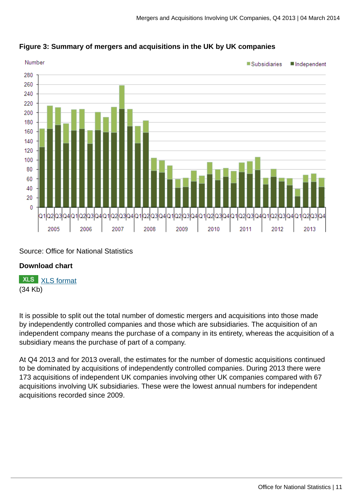![](_page_10_Figure_1.jpeg)

#### **Figure 3: Summary of mergers and acquisitions in the UK by UK companies**

#### Source: Office for National Statistics

#### **Download chart**

**XLS** [XLS format](http://www.ons.gov.uk:80/ons/rel/international-transactions/mergers-and-acquisitions-involving-uk-companies/q4-2013/chd-m-a-fig-2.xls) (34 Kb)

It is possible to split out the total number of domestic mergers and acquisitions into those made by independently controlled companies and those which are subsidiaries. The acquisition of an independent company means the purchase of a company in its entirety, whereas the acquisition of a subsidiary means the purchase of part of a company.

At Q4 2013 and for 2013 overall, the estimates for the number of domestic acquisitions continued to be dominated by acquisitions of independently controlled companies. During 2013 there were 173 acquisitions of independent UK companies involving other UK companies compared with 67 acquisitions involving UK subsidiaries. These were the lowest annual numbers for independent acquisitions recorded since 2009.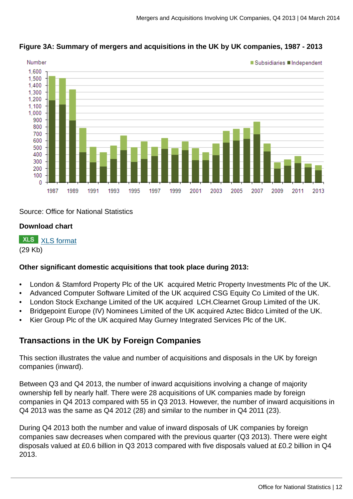![](_page_11_Figure_1.jpeg)

#### **Figure 3A: Summary of mergers and acquisitions in the UK by UK companies, 1987 - 2013**

Source: Office for National Statistics

#### **Download chart**

**XLS** [XLS format](http://www.ons.gov.uk:80/ons/rel/international-transactions/mergers-and-acquisitions-involving-uk-companies/q4-2013/chd-m-a-fig-2a.xls) (29 Kb)

#### **Other significant domestic acquisitions that took place during 2013:**

- London & Stamford Property Plc of the UK acquired Metric Property Investments Plc of the UK.
- Advanced Computer Software Limited of the UK acquired CSG Equity Co Limited of the UK.
- London Stock Exchange Limited of the UK acquired LCH.Clearnet Group Limited of the UK.
- Bridgepoint Europe (IV) Nominees Limited of the UK acquired Aztec Bidco Limited of the UK.
- Kier Group Plc of the UK acquired May Gurney Integrated Services Plc of the UK.

#### **Transactions in the UK by Foreign Companies**

This section illustrates the value and number of acquisitions and disposals in the UK by foreign companies (inward).

Between Q3 and Q4 2013, the number of inward acquisitions involving a change of majority ownership fell by nearly half. There were 28 acquisitions of UK companies made by foreign companies in Q4 2013 compared with 55 in Q3 2013. However, the number of inward acquisitions in Q4 2013 was the same as Q4 2012 (28) and similar to the number in Q4 2011 (23).

During Q4 2013 both the number and value of inward disposals of UK companies by foreign companies saw decreases when compared with the previous quarter (Q3 2013). There were eight disposals valued at £0.6 billion in Q3 2013 compared with five disposals valued at £0.2 billion in Q4 2013.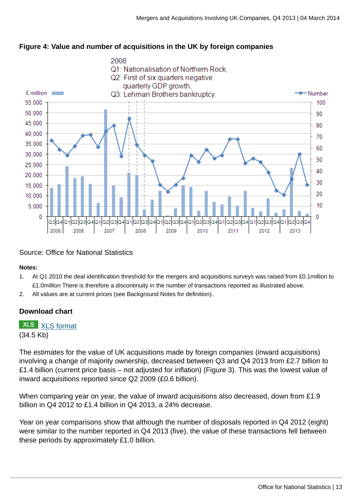![](_page_12_Figure_1.jpeg)

#### **Figure 4: Value and number of acquisitions in the UK by foreign companies**

#### Source: Office for National Statistics

#### **Notes:**

- 1. At Q1 2010 the deal identification threshold for the mergers and acquisitions surveys was raised from £0.1million to £1.0million There is therefore a discontinuity in the number of transactions reported as illustrated above.
- 2. All values are at current prices (see Background Notes for definition).

#### **Download chart**

**XLS** [XLS format](http://www.ons.gov.uk:80/ons/rel/international-transactions/mergers-and-acquisitions-involving-uk-companies/q4-2013/chd-m-a-fig-3.xls) (34.5 Kb)

The estimates for the value of UK acquisitions made by foreign companies (inward acquisitions) involving a change of majority ownership, decreased between Q3 and Q4 2013 from £2.7 billion to £1.4 billion (current price basis – not adjusted for inflation) (Figure 3). This was the lowest value of inward acquisitions reported since Q2 2009 (£0.6 billion).

When comparing year on year, the value of inward acquisitions also decreased, down from £1.9 billion in Q4 2012 to £1.4 billion in Q4 2013, a 24% decrease.

Year on year comparisons show that although the number of disposals reported in Q4 2012 (eight) were similar to the number reported in Q4 2013 (five), the value of these transactions fell between these periods by approximately £1.0 billion.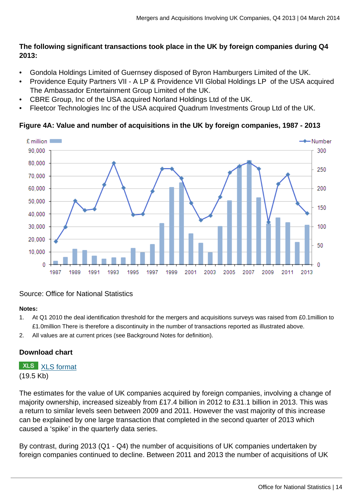#### **The following significant transactions took place in the UK by foreign companies during Q4 2013:**

- Gondola Holdings Limited of Guernsey disposed of Byron Hamburgers Limited of the UK.
- Providence Equity Partners VII A LP & Providence VII Global Holdings LP of the USA acquired The Ambassador Entertainment Group Limited of the UK.
- CBRE Group, Inc of the USA acquired Norland Holdings Ltd of the UK.
- Fleetcor Technologies Inc of the USA acquired Quadrum Investments Group Ltd of the UK.

#### **Figure 4A: Value and number of acquisitions in the UK by foreign companies, 1987 - 2013**

![](_page_13_Figure_7.jpeg)

#### Source: Office for National Statistics

#### **Notes:**

- 1. At Q1 2010 the deal identification threshold for the mergers and acquisitions surveys was raised from £0.1million to £1.0million There is therefore a discontinuity in the number of transactions reported as illustrated above.
- 2. All values are at current prices (see Background Notes for definition).

#### **Download chart**

**XLS** [XLS format](http://www.ons.gov.uk:80/ons/rel/international-transactions/mergers-and-acquisitions-involving-uk-companies/q4-2013/chd-m-a-fig-3a.xls) (19.5 Kb)

The estimates for the value of UK companies acquired by foreign companies, involving a change of majority ownership, increased sizeably from £17.4 billion in 2012 to £31.1 billion in 2013. This was a return to similar levels seen between 2009 and 2011. However the vast majority of this increase can be explained by one large transaction that completed in the second quarter of 2013 which caused a 'spike' in the quarterly data series.

By contrast, during 2013 (Q1 - Q4) the number of acquisitions of UK companies undertaken by foreign companies continued to decline. Between 2011 and 2013 the number of acquisitions of UK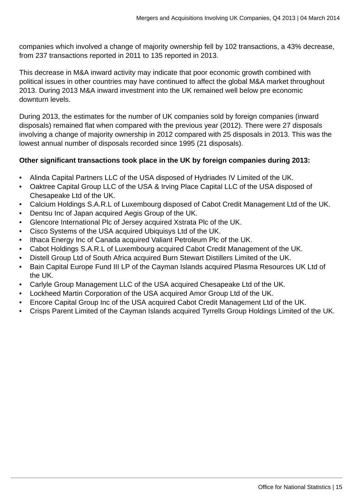companies which involved a change of majority ownership fell by 102 transactions, a 43% decrease, from 237 transactions reported in 2011 to 135 reported in 2013.

This decrease in M&A inward activity may indicate that poor economic growth combined with political issues in other countries may have continued to affect the global M&A market throughout 2013. During 2013 M&A inward investment into the UK remained well below pre economic downturn levels.

During 2013, the estimates for the number of UK companies sold by foreign companies (inward disposals) remained flat when compared with the previous year (2012). There were 27 disposals involving a change of majority ownership in 2012 compared with 25 disposals in 2013. This was the lowest annual number of disposals recorded since 1995 (21 disposals).

#### **Other significant transactions took place in the UK by foreign companies during 2013:**

- Alinda Capital Partners LLC of the USA disposed of Hydriades IV Limited of the UK.
- Oaktree Capital Group LLC of the USA & Irving Place Capital LLC of the USA disposed of Chesapeake Ltd of the UK.
- Calcium Holdings S.A.R.L of Luxembourg disposed of Cabot Credit Management Ltd of the UK.
- Dentsu Inc of Japan acquired Aegis Group of the UK.
- Glencore International Plc of Jersey acquired Xstrata Plc of the UK.
- Cisco Systems of the USA acquired Ubiquisys Ltd of the UK.
- Ithaca Energy Inc of Canada acquired Valiant Petroleum Plc of the UK.
- Cabot Holdings S.A.R.L of Luxembourg acquired Cabot Credit Management of the UK.
- Distell Group Ltd of South Africa acquired Burn Stewart Distillers Limited of the UK.
- Bain Capital Europe Fund III LP of the Cayman Islands acquired Plasma Resources UK Ltd of the UK.
- Carlyle Group Management LLC of the USA acquired Chesapeake Ltd of the UK.
- Lockheed Martin Corporation of the USA acquired Amor Group Ltd of the UK.
- Encore Capital Group Inc of the USA acquired Cabot Credit Management Ltd of the UK.
- Crisps Parent Limited of the Cayman Islands acquired Tyrrells Group Holdings Limited of the UK.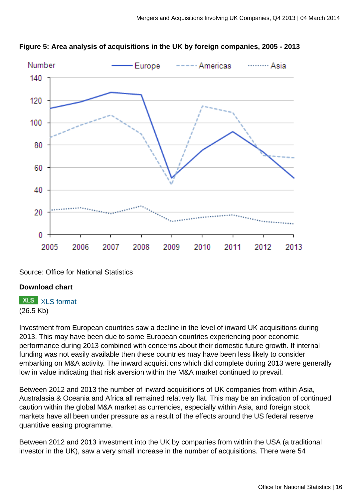![](_page_15_Figure_1.jpeg)

![](_page_15_Figure_2.jpeg)

Source: Office for National Statistics

#### **Download chart**

**XLS** [XLS format](http://www.ons.gov.uk:80/ons/rel/international-transactions/mergers-and-acquisitions-involving-uk-companies/q4-2013/chd-m-a-fig-4.xls) (26.5 Kb)

Investment from European countries saw a decline in the level of inward UK acquisitions during 2013. This may have been due to some European countries experiencing poor economic performance during 2013 combined with concerns about their domestic future growth. If internal funding was not easily available then these countries may have been less likely to consider embarking on M&A activity. The inward acquisitions which did complete during 2013 were generally low in value indicating that risk aversion within the M&A market continued to prevail.

Between 2012 and 2013 the number of inward acquisitions of UK companies from within Asia, Australasia & Oceania and Africa all remained relatively flat. This may be an indication of continued caution within the global M&A market as currencies, especially within Asia, and foreign stock markets have all been under pressure as a result of the effects around the US federal reserve quantitive easing programme.

Between 2012 and 2013 investment into the UK by companies from within the USA (a traditional investor in the UK), saw a very small increase in the number of acquisitions. There were 54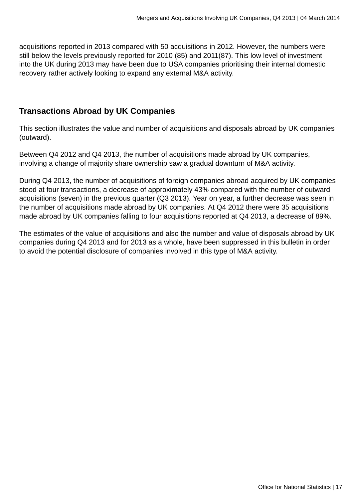acquisitions reported in 2013 compared with 50 acquisitions in 2012. However, the numbers were still below the levels previously reported for 2010 (85) and 2011(87). This low level of investment into the UK during 2013 may have been due to USA companies prioritising their internal domestic recovery rather actively looking to expand any external M&A activity.

#### **Transactions Abroad by UK Companies**

This section illustrates the value and number of acquisitions and disposals abroad by UK companies (outward).

Between Q4 2012 and Q4 2013, the number of acquisitions made abroad by UK companies, involving a change of majority share ownership saw a gradual downturn of M&A activity.

During Q4 2013, the number of acquisitions of foreign companies abroad acquired by UK companies stood at four transactions, a decrease of approximately 43% compared with the number of outward acquisitions (seven) in the previous quarter (Q3 2013). Year on year, a further decrease was seen in the number of acquisitions made abroad by UK companies. At Q4 2012 there were 35 acquisitions made abroad by UK companies falling to four acquisitions reported at Q4 2013, a decrease of 89%.

The estimates of the value of acquisitions and also the number and value of disposals abroad by UK companies during Q4 2013 and for 2013 as a whole, have been suppressed in this bulletin in order to avoid the potential disclosure of companies involved in this type of M&A activity.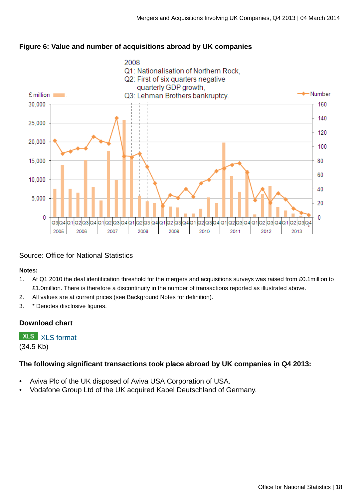![](_page_17_Figure_1.jpeg)

#### **Figure 6: Value and number of acquisitions abroad by UK companies**

#### Source: Office for National Statistics

#### **Notes:**

- 1. At Q1 2010 the deal identification threshold for the mergers and acquisitions surveys was raised from £0.1million to £1.0million. There is therefore a discontinuity in the number of transactions reported as illustrated above.
- 2. All values are at current prices (see Background Notes for definition).
- 3. \* Denotes disclosive figures.

#### **Download chart**

**XLS** [XLS format](http://www.ons.gov.uk:80/ons/rel/international-transactions/mergers-and-acquisitions-involving-uk-companies/q4-2013/chd-m-a-fig-5.xls) (34.5 Kb)

#### **The following significant transactions took place abroad by UK companies in Q4 2013:**

- Aviva Plc of the UK disposed of Aviva USA Corporation of USA.
- Vodafone Group Ltd of the UK acquired Kabel Deutschland of Germany.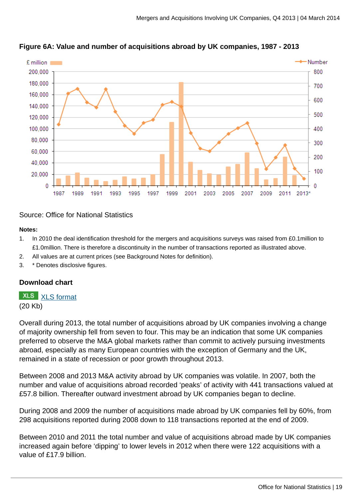![](_page_18_Figure_1.jpeg)

**Figure 6A: Value and number of acquisitions abroad by UK companies, 1987 - 2013**

#### Source: Office for National Statistics

#### **Notes:**

- 1. In 2010 the deal identification threshold for the mergers and acquisitions surveys was raised from £0.1million to £1.0million. There is therefore a discontinuity in the number of transactions reported as illustrated above.
- 2. All values are at current prices (see Background Notes for definition).
- 3. \* Denotes disclosive figures.

#### **Download chart**

### **XLS** [XLS format](http://www.ons.gov.uk:80/ons/rel/international-transactions/mergers-and-acquisitions-involving-uk-companies/q4-2013/chd-m-a-fig-5a.xls)

(20 Kb)

Overall during 2013, the total number of acquisitions abroad by UK companies involving a change of majority ownership fell from seven to four. This may be an indication that some UK companies preferred to observe the M&A global markets rather than commit to actively pursuing investments abroad, especially as many European countries with the exception of Germany and the UK, remained in a state of recession or poor growth throughout 2013.

Between 2008 and 2013 M&A activity abroad by UK companies was volatile. In 2007, both the number and value of acquisitions abroad recorded 'peaks' of activity with 441 transactions valued at £57.8 billion. Thereafter outward investment abroad by UK companies began to decline.

During 2008 and 2009 the number of acquisitions made abroad by UK companies fell by 60%, from 298 acquisitions reported during 2008 down to 118 transactions reported at the end of 2009.

Between 2010 and 2011 the total number and value of acquisitions abroad made by UK companies increased again before 'dipping' to lower levels in 2012 when there were 122 acquisitions with a value of £17.9 billion.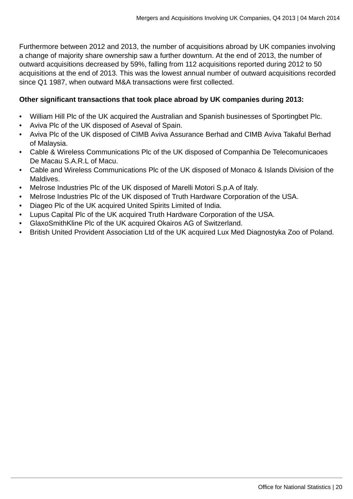Furthermore between 2012 and 2013, the number of acquisitions abroad by UK companies involving a change of majority share ownership saw a further downturn. At the end of 2013, the number of outward acquisitions decreased by 59%, falling from 112 acquisitions reported during 2012 to 50 acquisitions at the end of 2013. This was the lowest annual number of outward acquisitions recorded since Q1 1987, when outward M&A transactions were first collected.

#### **Other significant transactions that took place abroad by UK companies during 2013:**

- William Hill Plc of the UK acquired the Australian and Spanish businesses of Sportingbet Plc.
- Aviva Plc of the UK disposed of Aseval of Spain.
- Aviva Plc of the UK disposed of CIMB Aviva Assurance Berhad and CIMB Aviva Takaful Berhad of Malaysia.
- Cable & Wireless Communications Plc of the UK disposed of Companhia De Telecomunicaoes De Macau S.A.R.L of Macu.
- Cable and Wireless Communications Plc of the UK disposed of Monaco & Islands Division of the Maldives.
- Melrose Industries Plc of the UK disposed of Marelli Motori S.p.A of Italy.
- Melrose Industries Plc of the UK disposed of Truth Hardware Corporation of the USA.
- Diageo Plc of the UK acquired United Spirits Limited of India.
- Lupus Capital Plc of the UK acquired Truth Hardware Corporation of the USA.
- GlaxoSmithKline Plc of the UK acquired Okairos AG of Switzerland.
- British United Provident Association Ltd of the UK acquired Lux Med Diagnostyka Zoo of Poland.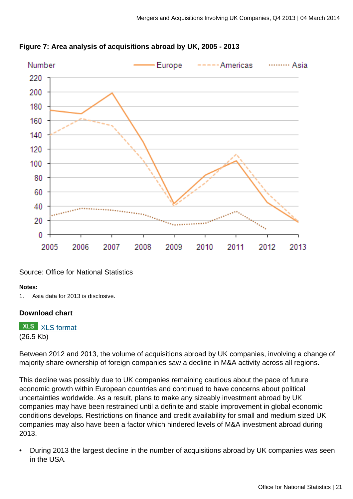![](_page_20_Figure_1.jpeg)

![](_page_20_Figure_2.jpeg)

#### Source: Office for National Statistics

#### **Notes:**

1. Asia data for 2013 is disclosive.

#### **Download chart**

**XLS** [XLS format](http://www.ons.gov.uk:80/ons/rel/international-transactions/mergers-and-acquisitions-involving-uk-companies/q4-2013/chd-m-a-fig-6.xls) (26.5 Kb)

Between 2012 and 2013, the volume of acquisitions abroad by UK companies, involving a change of majority share ownership of foreign companies saw a decline in M&A activity across all regions.

This decline was possibly due to UK companies remaining cautious about the pace of future economic growth within European countries and continued to have concerns about political uncertainties worldwide. As a result, plans to make any sizeably investment abroad by UK companies may have been restrained until a definite and stable improvement in global economic conditions develops. Restrictions on finance and credit availability for small and medium sized UK companies may also have been a factor which hindered levels of M&A investment abroad during 2013.

• During 2013 the largest decline in the number of acquisitions abroad by UK companies was seen in the USA.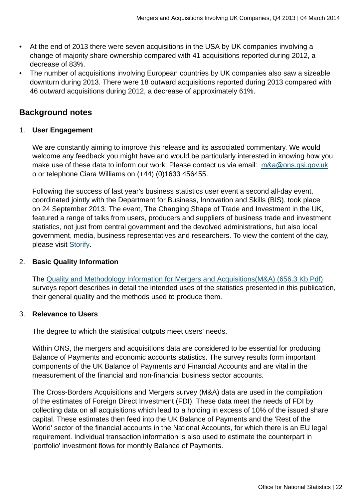- At the end of 2013 there were seven acquisitions in the USA by UK companies involving a change of majority share ownership compared with 41 acquisitions reported during 2012, a decrease of 83%.
- The number of acquisitions involving European countries by UK companies also saw a sizeable downturn during 2013. There were 18 outward acquisitions reported during 2013 compared with 46 outward acquisitions during 2012, a decrease of approximately 61%.

#### **Background notes**

#### 1. **User Engagement**

We are constantly aiming to improve this release and its associated commentary. We would welcome any feedback you might have and would be particularly interested in knowing how you make use of these data to inform our work. Please contact us via email: [m&a@ons.gsi.gov.uk](mailto:m&a@ons.gsi.gov.uk) o or telephone Ciara Williams on (+44) (0)1633 456455.

Following the success of last year's business statistics user event a second all-day event, coordinated jointly with the Department for Business, Innovation and Skills (BIS), took place on 24 September 2013. The event, The Changing Shape of Trade and Investment in the UK, featured a range of talks from users, producers and suppliers of business trade and investment statistics, not just from central government and the devolved administrations, but also local government, media, business representatives and researchers. To view the content of the day, please visit [Storify](http://sfy.co/eQJP).

#### 2. **Basic Quality Information**

The [Quality and Methodology Information for Mergers and Acquisitions\(M&A\) \(656.3 Kb Pdf\)](http://www.ons.gov.uk:80/ons/guide-method/method-quality/quality/quality-information/business-statistics/quality-and-methodology-information-for-mergers-and-acquisitions--m-a--surveys-releases.pdf) surveys report describes in detail the intended uses of the statistics presented in this publication, their general quality and the methods used to produce them.

#### 3. **Relevance to Users**

The degree to which the statistical outputs meet users' needs.

Within ONS, the mergers and acquisitions data are considered to be essential for producing Balance of Payments and economic accounts statistics. The survey results form important components of the UK Balance of Payments and Financial Accounts and are vital in the measurement of the financial and non-financial business sector accounts.

The Cross-Borders Acquisitions and Mergers survey (M&A) data are used in the compilation of the estimates of Foreign Direct Investment (FDI). These data meet the needs of FDI by collecting data on all acquisitions which lead to a holding in excess of 10% of the issued share capital. These estimates then feed into the UK Balance of Payments and the 'Rest of the World' sector of the financial accounts in the National Accounts, for which there is an EU legal requirement. Individual transaction information is also used to estimate the counterpart in 'portfolio' investment flows for monthly Balance of Payments.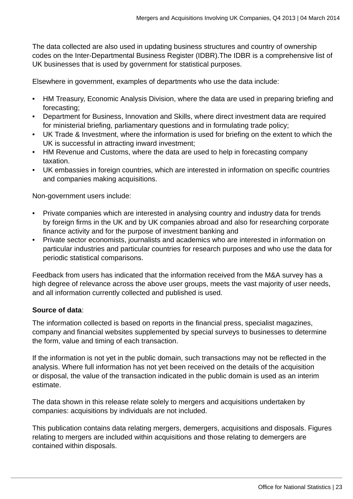The data collected are also used in updating business structures and country of ownership codes on the Inter-Departmental Business Register (IDBR).The IDBR is a comprehensive list of UK businesses that is used by government for statistical purposes.

Elsewhere in government, examples of departments who use the data include:

- HM Treasury, Economic Analysis Division, where the data are used in preparing briefing and forecasting;
- Department for Business, Innovation and Skills, where direct investment data are required for ministerial briefing, parliamentary questions and in formulating trade policy;
- UK Trade & Investment, where the information is used for briefing on the extent to which the UK is successful in attracting inward investment;
- HM Revenue and Customs, where the data are used to help in forecasting company taxation.
- UK embassies in foreign countries, which are interested in information on specific countries and companies making acquisitions.

Non-government users include:

- Private companies which are interested in analysing country and industry data for trends by foreign firms in the UK and by UK companies abroad and also for researching corporate finance activity and for the purpose of investment banking and
- Private sector economists, journalists and academics who are interested in information on particular industries and particular countries for research purposes and who use the data for periodic statistical comparisons.

Feedback from users has indicated that the information received from the M&A survey has a high degree of relevance across the above user groups, meets the vast majority of user needs, and all information currently collected and published is used.

#### **Source of data**:

The information collected is based on reports in the financial press, specialist magazines, company and financial websites supplemented by special surveys to businesses to determine the form, value and timing of each transaction.

If the information is not yet in the public domain, such transactions may not be reflected in the analysis. Where full information has not yet been received on the details of the acquisition or disposal, the value of the transaction indicated in the public domain is used as an interim estimate.

The data shown in this release relate solely to mergers and acquisitions undertaken by companies: acquisitions by individuals are not included.

This publication contains data relating mergers, demergers, acquisitions and disposals. Figures relating to mergers are included within acquisitions and those relating to demergers are contained within disposals.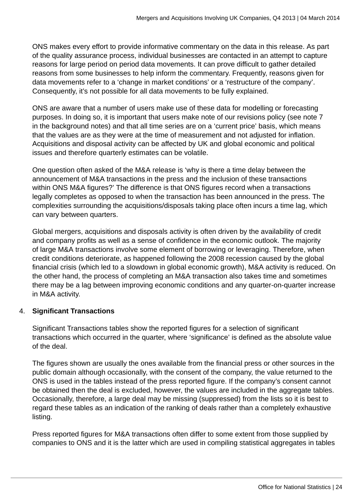ONS makes every effort to provide informative commentary on the data in this release. As part of the quality assurance process, individual businesses are contacted in an attempt to capture reasons for large period on period data movements. It can prove difficult to gather detailed reasons from some businesses to help inform the commentary. Frequently, reasons given for data movements refer to a 'change in market conditions' or a 'restructure of the company'. Consequently, it's not possible for all data movements to be fully explained.

ONS are aware that a number of users make use of these data for modelling or forecasting purposes. In doing so, it is important that users make note of our revisions policy (see note 7 in the background notes) and that all time series are on a 'current price' basis, which means that the values are as they were at the time of measurement and not adjusted for inflation. Acquisitions and disposal activity can be affected by UK and global economic and political issues and therefore quarterly estimates can be volatile.

One question often asked of the M&A release is 'why is there a time delay between the announcement of M&A transactions in the press and the inclusion of these transactions within ONS M&A figures?' The difference is that ONS figures record when a transactions legally completes as opposed to when the transaction has been announced in the press. The complexities surrounding the acquisitions/disposals taking place often incurs a time lag, which can vary between quarters.

Global mergers, acquisitions and disposals activity is often driven by the availability of credit and company profits as well as a sense of confidence in the economic outlook. The majority of large M&A transactions involve some element of borrowing or leveraging. Therefore, when credit conditions deteriorate, as happened following the 2008 recession caused by the global financial crisis (which led to a slowdown in global economic growth), M&A activity is reduced. On the other hand, the process of completing an M&A transaction also takes time and sometimes there may be a lag between improving economic conditions and any quarter-on-quarter increase in M&A activity.

#### 4. **Significant Transactions**

Significant Transactions tables show the reported figures for a selection of significant transactions which occurred in the quarter, where 'significance' is defined as the absolute value of the deal.

The figures shown are usually the ones available from the financial press or other sources in the public domain although occasionally, with the consent of the company, the value returned to the ONS is used in the tables instead of the press reported figure. If the company's consent cannot be obtained then the deal is excluded, however, the values are included in the aggregate tables. Occasionally, therefore, a large deal may be missing (suppressed) from the lists so it is best to regard these tables as an indication of the ranking of deals rather than a completely exhaustive listing.

Press reported figures for M&A transactions often differ to some extent from those supplied by companies to ONS and it is the latter which are used in compiling statistical aggregates in tables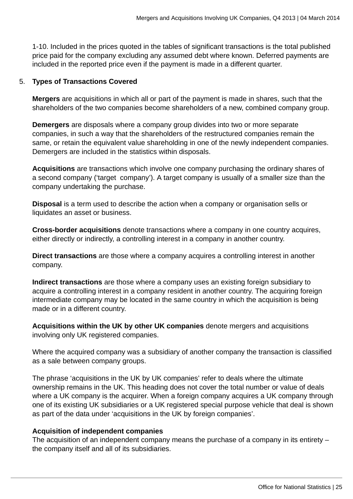1-10. Included in the prices quoted in the tables of significant transactions is the total published price paid for the company excluding any assumed debt where known. Deferred payments are included in the reported price even if the payment is made in a different quarter.

#### 5. **Types of Transactions Covered**

**Mergers** are acquisitions in which all or part of the payment is made in shares, such that the shareholders of the two companies become shareholders of a new, combined company group.

**Demergers** are disposals where a company group divides into two or more separate companies, in such a way that the shareholders of the restructured companies remain the same, or retain the equivalent value shareholding in one of the newly independent companies. Demergers are included in the statistics within disposals.

**Acquisitions** are transactions which involve one company purchasing the ordinary shares of a second company ('target company'). A target company is usually of a smaller size than the company undertaking the purchase.

**Disposal** is a term used to describe the action when a company or organisation sells or liquidates an asset or business.

**Cross-border acquisitions** denote transactions where a company in one country acquires, either directly or indirectly, a controlling interest in a company in another country.

**Direct transactions** are those where a company acquires a controlling interest in another company.

**Indirect transactions** are those where a company uses an existing foreign subsidiary to acquire a controlling interest in a company resident in another country. The acquiring foreign intermediate company may be located in the same country in which the acquisition is being made or in a different country.

**Acquisitions within the UK by other UK companies** denote mergers and acquisitions involving only UK registered companies.

Where the acquired company was a subsidiary of another company the transaction is classified as a sale between company groups.

The phrase 'acquisitions in the UK by UK companies' refer to deals where the ultimate ownership remains in the UK. This heading does not cover the total number or value of deals where a UK company is the acquirer. When a foreign company acquires a UK company through one of its existing UK subsidiaries or a UK registered special purpose vehicle that deal is shown as part of the data under 'acquisitions in the UK by foreign companies'.

#### **Acquisition of independent companies**

The acquisition of an independent company means the purchase of a company in its entirety – the company itself and all of its subsidiaries.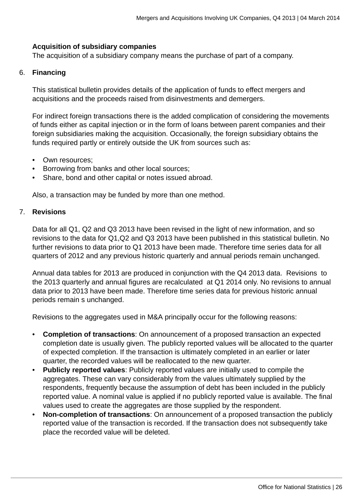#### **Acquisition of subsidiary companies**

The acquisition of a subsidiary company means the purchase of part of a company.

#### 6. **Financing**

This statistical bulletin provides details of the application of funds to effect mergers and acquisitions and the proceeds raised from disinvestments and demergers.

For indirect foreign transactions there is the added complication of considering the movements of funds either as capital injection or in the form of loans between parent companies and their foreign subsidiaries making the acquisition. Occasionally, the foreign subsidiary obtains the funds required partly or entirely outside the UK from sources such as:

- Own resources;
- Borrowing from banks and other local sources;
- Share, bond and other capital or notes issued abroad.

Also, a transaction may be funded by more than one method.

#### 7. **Revisions**

Data for all Q1, Q2 and Q3 2013 have been revised in the light of new information, and so revisions to the data for Q1,Q2 and Q3 2013 have been published in this statistical bulletin. No further revisions to data prior to Q1 2013 have been made. Therefore time series data for all quarters of 2012 and any previous historic quarterly and annual periods remain unchanged.

Annual data tables for 2013 are produced in conjunction with the Q4 2013 data. Revisions to the 2013 quarterly and annual figures are recalculated at Q1 2014 only. No revisions to annual data prior to 2013 have been made. Therefore time series data for previous historic annual periods remain s unchanged.

Revisions to the aggregates used in M&A principally occur for the following reasons:

- **Completion of transactions**: On announcement of a proposed transaction an expected completion date is usually given. The publicly reported values will be allocated to the quarter of expected completion. If the transaction is ultimately completed in an earlier or later quarter, the recorded values will be reallocated to the new quarter.
- **Publicly reported values**: Publicly reported values are initially used to compile the aggregates. These can vary considerably from the values ultimately supplied by the respondents, frequently because the assumption of debt has been included in the publicly reported value. A nominal value is applied if no publicly reported value is available. The final values used to create the aggregates are those supplied by the respondent.
- **Non-completion of transactions**: On announcement of a proposed transaction the publicly reported value of the transaction is recorded. If the transaction does not subsequently take place the recorded value will be deleted.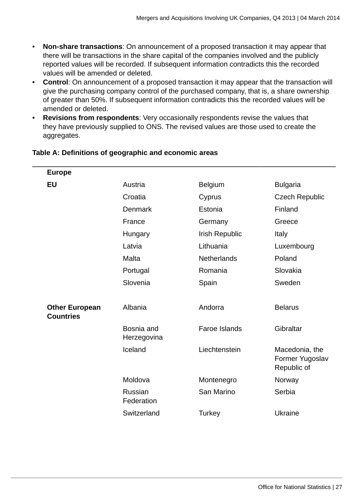- **Non-share transactions**: On announcement of a proposed transaction it may appear that there will be transactions in the share capital of the companies involved and the publicly reported values will be recorded. If subsequent information contradicts this the recorded values will be amended or deleted.
- **Control**: On announcement of a proposed transaction it may appear that the transaction will give the purchasing company control of the purchased company, that is, a share ownership of greater than 50%. If subsequent information contradicts this the recorded values will be amended or deleted.
- **Revisions from respondents**: Very occasionally respondents revise the values that they have previously supplied to ONS. The revised values are those used to create the aggregates.

| <b>Europe</b>                             |                           |                      |                                                  |
|-------------------------------------------|---------------------------|----------------------|--------------------------------------------------|
| <b>EU</b>                                 | Austria                   | <b>Belgium</b>       | <b>Bulgaria</b>                                  |
|                                           | Croatia                   | Cyprus               | <b>Czech Republic</b>                            |
|                                           | <b>Denmark</b>            | Estonia              | Finland                                          |
|                                           | France                    | Germany              | Greece                                           |
|                                           | Hungary                   | Irish Republic       | Italy                                            |
|                                           | Latvia                    | Lithuania            | Luxembourg                                       |
|                                           | Malta                     | <b>Netherlands</b>   | Poland                                           |
|                                           | Portugal                  | Romania              | Slovakia                                         |
|                                           | Slovenia                  | Spain                | Sweden                                           |
|                                           |                           |                      |                                                  |
| <b>Other European</b><br><b>Countries</b> | Albania                   | Andorra              | <b>Belarus</b>                                   |
|                                           | Bosnia and<br>Herzegovina | <b>Faroe Islands</b> | Gibraltar                                        |
|                                           | Iceland                   | Liechtenstein        | Macedonia, the<br>Former Yugoslav<br>Republic of |
|                                           | Moldova                   | Montenegro           | Norway                                           |
|                                           | Russian<br>Federation     | San Marino           | Serbia                                           |
|                                           | Switzerland               | Turkey               | Ukraine                                          |

#### **Table A: Definitions of geographic and economic areas**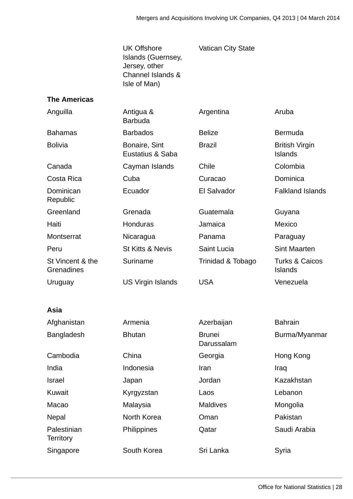UK Offshore Islands (Guernsey, Jersey, other Channel Islands & Isle of Man)

Vatican City State

#### **The Americas**

| Anguilla<br>Antigua &<br><b>Barbuda</b> |                                   | Argentina                   | Aruba                                       |
|-----------------------------------------|-----------------------------------|-----------------------------|---------------------------------------------|
| <b>Bahamas</b>                          | <b>Barbados</b>                   | <b>Belize</b>               | <b>Bermuda</b>                              |
| <b>Bolivia</b>                          | Bonaire, Sint<br>Eustatius & Saba | <b>Brazil</b>               | <b>British Virgin</b><br><b>Islands</b>     |
| Canada                                  | Cayman Islands                    | Chile                       | Colombia                                    |
| Costa Rica                              | Cuba                              | Curacao                     | Dominica                                    |
| Dominican<br>Republic                   | Ecuador                           | El Salvador                 | <b>Falkland Islands</b>                     |
| Greenland                               | Grenada                           | Guatemala                   | Guyana                                      |
| Haiti                                   | Honduras                          | Jamaica                     | Mexico                                      |
| Montserrat                              | Nicaragua                         | Panama                      | Paraguay                                    |
| Peru                                    | <b>St Kitts &amp; Nevis</b>       | Saint Lucia                 | <b>Sint Maarten</b>                         |
| St Vincent & the<br>Grenadines          | Suriname                          | Trinidad & Tobago           | <b>Turks &amp; Caicos</b><br><b>Islands</b> |
| Uruguay                                 | <b>US Virgin Islands</b>          | <b>USA</b>                  | Venezuela                                   |
| Asia                                    |                                   |                             |                                             |
| Afghanistan                             | Armenia                           | Azerbaijan                  | <b>Bahrain</b>                              |
| Bangladesh                              | <b>Bhutan</b>                     | <b>Brunei</b><br>Darussalam | Burma/Myanmar                               |
| Cambodia                                | China                             | Georgia                     | Hong Kong                                   |
| India                                   | Indonesia                         | Iran                        | Iraq                                        |
| <b>Israel</b>                           | Japan                             | Jordan                      | Kazakhstan                                  |
| Kuwait                                  | Kyrgyzstan                        | Laos                        | Lebanon                                     |
| Macao                                   | Malaysia                          | <b>Maldives</b>             | Mongolia                                    |
| Nepal                                   | North Korea                       | Oman                        | Pakistan                                    |
| Palestinian<br><b>Territory</b>         | Philippines                       | Qatar                       | Saudi Arabia                                |
| Singapore                               | South Korea                       | Sri Lanka                   | Syria                                       |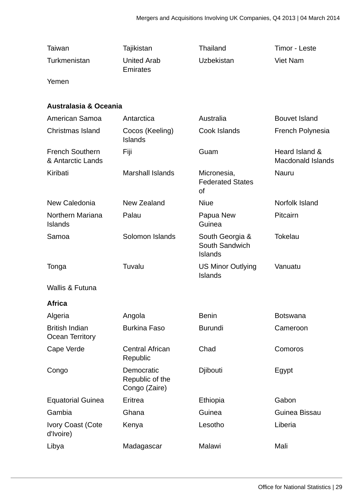| Taiwan                                      | Tajikistan                                     | Thailand                                            | Timor - Leste                              |
|---------------------------------------------|------------------------------------------------|-----------------------------------------------------|--------------------------------------------|
| Turkmenistan                                | <b>United Arab</b><br><b>Emirates</b>          | Uzbekistan                                          | <b>Viet Nam</b>                            |
| Yemen                                       |                                                |                                                     |                                            |
| <b>Australasia &amp; Oceania</b>            |                                                |                                                     |                                            |
| American Samoa                              | Antarctica                                     | Australia                                           | <b>Bouvet Island</b>                       |
| Christmas Island                            | Cocos (Keeling)<br><b>Islands</b>              | Cook Islands                                        | French Polynesia                           |
| <b>French Southern</b><br>& Antarctic Lands | Fiji                                           | Guam                                                | Heard Island &<br><b>Macdonald Islands</b> |
| Kiribati                                    | <b>Marshall Islands</b>                        | Micronesia,<br><b>Federated States</b><br>of        | Nauru                                      |
| New Caledonia                               | New Zealand                                    | <b>Niue</b>                                         | Norfolk Island                             |
| Northern Mariana<br><b>Islands</b>          | Palau                                          | Papua New<br>Guinea                                 | Pitcairn                                   |
| Samoa                                       | Solomon Islands                                | South Georgia &<br>South Sandwich<br><b>Islands</b> | <b>Tokelau</b>                             |
| Tonga                                       | Tuvalu                                         | <b>US Minor Outlying</b><br><b>Islands</b>          | Vanuatu                                    |
| <b>Wallis &amp; Futuna</b>                  |                                                |                                                     |                                            |
| <b>Africa</b>                               |                                                |                                                     |                                            |
| Algeria                                     | Angola                                         | <b>Benin</b>                                        | <b>Botswana</b>                            |
| <b>British Indian</b><br>Ocean Territory    | <b>Burkina Faso</b>                            | <b>Burundi</b>                                      | Cameroon                                   |
| Cape Verde                                  | <b>Central African</b><br>Republic             | Chad                                                | Comoros                                    |
| Congo                                       | Democratic<br>Republic of the<br>Congo (Zaire) | Djibouti                                            | Egypt                                      |
| <b>Equatorial Guinea</b>                    | Eritrea                                        | Ethiopia                                            | Gabon                                      |
| Gambia                                      | Ghana                                          | Guinea                                              | Guinea Bissau                              |
| <b>Ivory Coast (Cote</b><br>d'Ivoire)       | Kenya                                          | Lesotho                                             | Liberia                                    |
| Libya                                       | Madagascar                                     | Malawi                                              | Mali                                       |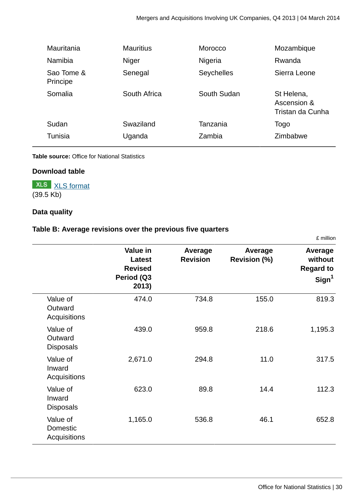| Mauritania             | <b>Mauritius</b> | Morocco     | Mozambique                                    |
|------------------------|------------------|-------------|-----------------------------------------------|
| <b>Namibia</b>         | Niger            | Nigeria     | Rwanda                                        |
| Sao Tome &<br>Principe | Senegal          | Seychelles  | Sierra Leone                                  |
| Somalia                | South Africa     | South Sudan | St Helena,<br>Ascension &<br>Tristan da Cunha |
| Sudan                  | Swaziland        | Tanzania    | Togo                                          |
| <b>Tunisia</b>         | Uganda           | Zambia      | Zimbabwe                                      |

#### **Table source:** Office for National Statistics

#### **Download table**

#### **XLS** [XLS format](http://www.ons.gov.uk:80/ons/rel/international-transactions/mergers-and-acquisitions-involving-uk-companies/q4-2013/prt-m-a-table-a.xls) (39.5 Kb)

#### **Data quality**

#### **Table B: Average revisions over the previous five quarters**

|                                         | Value in<br><b>Latest</b><br><b>Revised</b><br>Period (Q3<br>2013) | Average<br><b>Revision</b> | Average<br><b>Revision (%)</b> | Average<br>without<br><b>Regard to</b><br>Sign <sup>1</sup> |
|-----------------------------------------|--------------------------------------------------------------------|----------------------------|--------------------------------|-------------------------------------------------------------|
| Value of<br>Outward<br>Acquisitions     | 474.0                                                              | 734.8                      | 155.0                          | 819.3                                                       |
| Value of<br>Outward<br><b>Disposals</b> | 439.0                                                              | 959.8                      | 218.6                          | 1,195.3                                                     |
| Value of<br>Inward<br>Acquisitions      | 2,671.0                                                            | 294.8                      | 11.0                           | 317.5                                                       |
| Value of<br>Inward<br><b>Disposals</b>  | 623.0                                                              | 89.8                       | 14.4                           | 112.3                                                       |
| Value of<br>Domestic<br>Acquisitions    | 1,165.0                                                            | 536.8                      | 46.1                           | 652.8                                                       |

£ million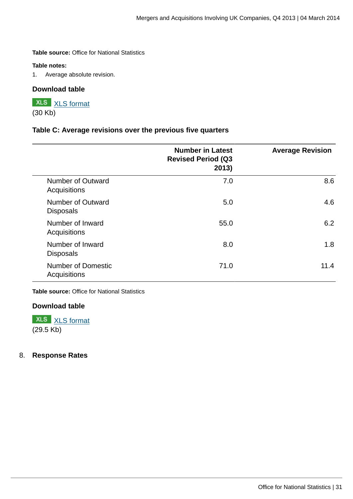**Table source:** Office for National Statistics

#### **Table notes:**

1. Average absolute revision.

#### **Download table**

#### **XLS** [XLS format](http://www.ons.gov.uk:80/ons/rel/international-transactions/mergers-and-acquisitions-involving-uk-companies/q4-2013/prt-m-a-table-b.xls) (30 Kb)

#### **Table C: Average revisions over the previous five quarters**

|                                           | <b>Number in Latest</b><br><b>Revised Period (Q3</b><br>2013) | <b>Average Revision</b> |
|-------------------------------------------|---------------------------------------------------------------|-------------------------|
| Number of Outward<br>Acquisitions         | 7.0                                                           | 8.6                     |
| Number of Outward<br><b>Disposals</b>     | 5.0                                                           | 4.6                     |
| Number of Inward<br>Acquisitions          | 55.0                                                          | 6.2                     |
| Number of Inward<br><b>Disposals</b>      | 8.0                                                           | 1.8                     |
| <b>Number of Domestic</b><br>Acquisitions | 71.0                                                          | 11.4                    |

**Table source:** Office for National Statistics

#### **Download table**

**XLS** [XLS format](http://www.ons.gov.uk:80/ons/rel/international-transactions/mergers-and-acquisitions-involving-uk-companies/q4-2013/prt-m-a-table-c.xls) (29.5 Kb)

#### 8. **Response Rates**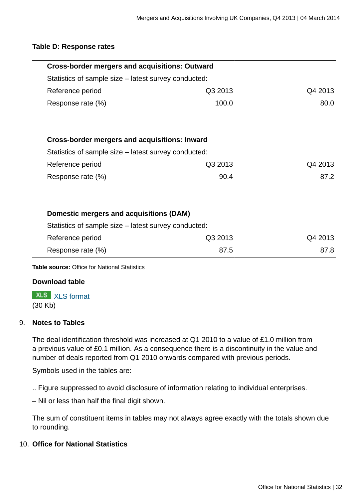#### **Table D: Response rates**

| <b>Cross-border mergers and acquisitions: Outward</b> |         |         |
|-------------------------------------------------------|---------|---------|
| Statistics of sample size – latest survey conducted:  |         |         |
| Reference period                                      | Q3 2013 | Q4 2013 |
| Response rate (%)                                     | 100.0   | 80.0    |
|                                                       |         |         |
| <b>Cross-border mergers and acquisitions: Inward</b>  |         |         |
| Statistics of sample size – latest survey conducted:  |         |         |
| Reference period                                      | Q3 2013 | Q4 2013 |
| Response rate (%)                                     | 90.4    | 87.2    |
|                                                       |         |         |
| Domestic mergers and acquisitions (DAM)               |         |         |
| Statistics of sample size - latest survey conducted:  |         |         |
| Reference period                                      | Q3 2013 | Q4 2013 |
| Response rate (%)                                     | 87.5    | 87.8    |
| <b>Table source:</b> Office for National Statistics   |         |         |

#### **Download table**

**XLS** [XLS format](http://www.ons.gov.uk:80/ons/rel/international-transactions/mergers-and-acquisitions-involving-uk-companies/q4-2013/prt-m-a-table-d.xls) (30 Kb)

#### 9. **Notes to Tables**

The deal identification threshold was increased at Q1 2010 to a value of £1.0 million from a previous value of £0.1 million. As a consequence there is a discontinuity in the value and number of deals reported from Q1 2010 onwards compared with previous periods.

Symbols used in the tables are:

.. Figure suppressed to avoid disclosure of information relating to individual enterprises.

– Nil or less than half the final digit shown.

The sum of constituent items in tables may not always agree exactly with the totals shown due to rounding.

#### 10. **Office for National Statistics**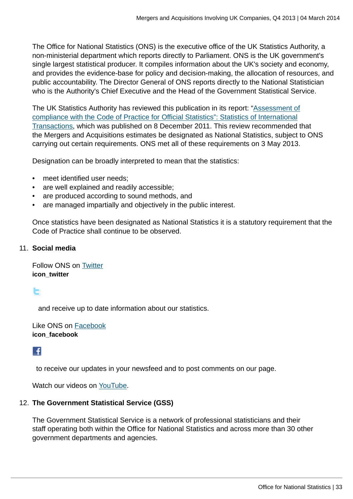The Office for National Statistics (ONS) is the executive office of the UK Statistics Authority, a non-ministerial department which reports directly to Parliament. ONS is the UK government's single largest statistical producer. It compiles information about the UK's society and economy, and provides the evidence-base for policy and decision-making, the allocation of resources, and public accountability. The Director General of ONS reports directly to the National Statistician who is the Authority's Chief Executive and the Head of the Government Statistical Service.

The UK Statistics Authority has reviewed this publication in its report: "[Assessment of](http://www.statisticsauthority.gov.uk/assessment/assessment/assessment-reports/assessment-report-164---statistics-on-international-transactions.pdf) [compliance with the Code of Practice for Official Statistics": Statistics of International](http://www.statisticsauthority.gov.uk/assessment/assessment/assessment-reports/assessment-report-164---statistics-on-international-transactions.pdf) [Transactions,](http://www.statisticsauthority.gov.uk/assessment/assessment/assessment-reports/assessment-report-164---statistics-on-international-transactions.pdf) which was published on 8 December 2011. This review recommended that the Mergers and Acquisitions estimates be designated as National Statistics, subject to ONS carrying out certain requirements. ONS met all of these requirements on 3 May 2013.

Designation can be broadly interpreted to mean that the statistics:

- meet identified user needs:
- are well explained and readily accessible;
- are produced according to sound methods, and
- are managed impartially and objectively in the public interest.

Once statistics have been designated as National Statistics it is a statutory requirement that the Code of Practice shall continue to be observed.

#### 11. **Social media**

Follow ONS on [Twitter](http://www.ons.gov.uk:80/ons/external-links/social-media/twitter.html) **icon\_twitter**

#### r

and receive up to date information about our statistics.

Like ONS on [Facebook](http://www.ons.gov.uk:80/ons/external-links/social-media/index.html) **icon\_facebook**

#### L£I

to receive our updates in your newsfeed and to post comments on our page.

Watch our videos on [YouTube.](http://www.ons.gov.uk:80/ons/external-links/social-media/youtube.html)

#### 12. **The Government Statistical Service (GSS)**

The Government Statistical Service is a network of professional statisticians and their staff operating both within the Office for National Statistics and across more than 30 other government departments and agencies.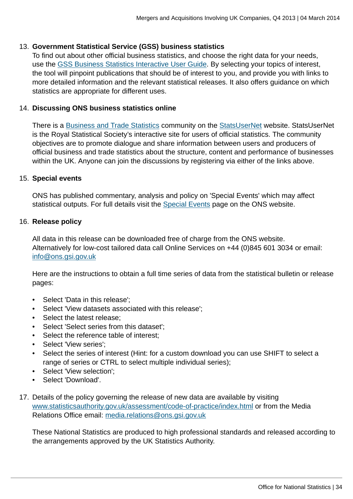#### 13. **Government Statistical Service (GSS) business statistics**

To find out about other official business statistics, and choose the right data for your needs, use the [GSS Business Statistics Interactive User Guide](http://www.ons.gov.uk:80/ons/guide-method/understanding-ons-statistics/business-statistics---interactive-user-guide/index.html). By selecting your topics of interest, the tool will pinpoint publications that should be of interest to you, and provide you with links to more detailed information and the relevant statistical releases. It also offers guidance on which statistics are appropriate for different uses.

#### 14. **Discussing ONS business statistics online**

There is a [Business and Trade Statistics](http://www.ons.gov.uk:80/ons/external-links/organisations/statsusernet/business-and-trade-statistics.html) community on the [StatsUserNet](http://www.ons.gov.uk:80/ons/external-links/organisations/statsusernet/statsusernet-home.html) website. StatsUserNet is the Royal Statistical Society's interactive site for users of official statistics. The community objectives are to promote dialogue and share information between users and producers of official business and trade statistics about the structure, content and performance of businesses within the UK. Anyone can join the discussions by registering via either of the links above.

#### 15. **Special events**

ONS has published commentary, analysis and policy on 'Special Events' which may affect statistical outputs. For full details visit the [Special Events](http://www.ons.gov.uk:80/ons/guide-method/method-quality/general-methodology/special-events-group/index.html) page on the ONS website.

#### 16. **Release policy**

All data in this release can be downloaded free of charge from the ONS website. Alternatively for low-cost tailored data call Online Services on +44 (0)845 601 3034 or email: [info@ons.gsi.gov.uk](mailto:info@ons.gsi.gov.uk)

Here are the instructions to obtain a full time series of data from the statistical bulletin or release pages:

- Select 'Data in this release';
- Select 'View datasets associated with this release';
- Select the latest release;
- Select 'Select series from this dataset';
- Select the reference table of interest;
- Select 'View series';
- Select the series of interest (Hint: for a custom download you can use SHIFT to select a range of series or CTRL to select multiple individual series);
- Select 'View selection';
- Select 'Download'.
- 17. Details of the policy governing the release of new data are available by visiting [www.statisticsauthority.gov.uk/assessment/code-of-practice/index.html](http://www.statisticsauthority.gov.uk/assessment/code-of-practice/index.html) or from the Media Relations Office email: [media.relations@ons.gsi.gov.uk](mailto:media.relations@ons.gsi.gov.uk)

These National Statistics are produced to high professional standards and released according to the arrangements approved by the UK Statistics Authority.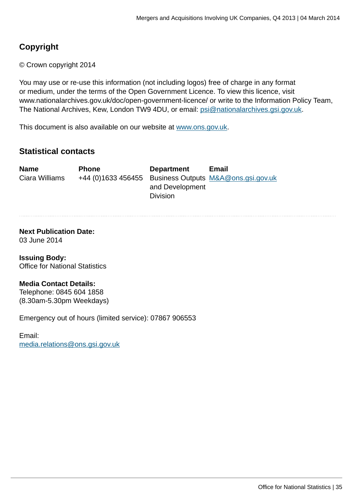#### **Copyright**

© Crown copyright 2014

You may use or re-use this information (not including logos) free of charge in any format or medium, under the terms of the Open Government Licence. To view this licence, visit www.nationalarchives.gov.uk/doc/open-government-licence/ or write to the Information Policy Team, The National Archives, Kew, London TW9 4DU, or email: [psi@nationalarchives.gsi.gov.uk](mailto:psi@nationalarchives.gsi.gov.uk).

This document is also available on our website at [www.ons.gov.uk.](http://www.ons.gov.uk/)

#### **Statistical contacts**

| <b>Name</b>    | <b>Phone</b> | <b>Department</b> | Email                                                  |
|----------------|--------------|-------------------|--------------------------------------------------------|
| Ciara Williams |              |                   | +44 (0)1633 456455 Business Outputs M&A@ons.gsi.gov.uk |
|                |              | and Development   |                                                        |
|                |              | <b>Division</b>   |                                                        |

#### **Next Publication Date:** 03 June 2014

**Issuing Body:** Office for National Statistics

#### **Media Contact Details:**

Telephone: 0845 604 1858 (8.30am-5.30pm Weekdays)

Emergency out of hours (limited service): 07867 906553

Email: [media.relations@ons.gsi.gov.uk](mailto:media.relations@ons.gsi.gov.uk)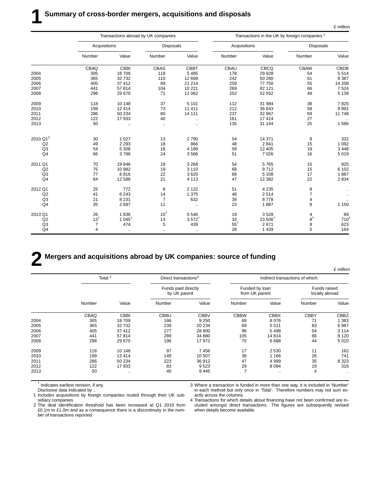|  | million |
|--|---------|
|  |         |

£ million

|                      | Transactions abroad by UK companies |                                       |                  |                      |                |                    | Transactions in the UK by foreign companies <sup>1</sup> |                  |
|----------------------|-------------------------------------|---------------------------------------|------------------|----------------------|----------------|--------------------|----------------------------------------------------------|------------------|
|                      | Acquisitions                        |                                       | <b>Disposals</b> |                      | Acquisitions   |                    | <b>Disposals</b>                                         |                  |
|                      | Number                              | Value                                 | Number           | Value                | Number         | Value              | Number                                                   | Value            |
|                      | CBAQ                                | <b>CBBI</b>                           | <b>CBAS</b>      | <b>CBBT</b>          | CBAU           | CBCQ               | <b>CBAW</b>                                              | <b>CBDB</b>      |
| 2004                 | 305                                 | 18709                                 | 118              | 5 4 8 5              | 178            | 29 9 28            | 54                                                       | 5514             |
| 2005                 | 365                                 | 32732                                 | 110              | 12 6 68              | 242            | 50 280             | 61                                                       | 8 3 8 7          |
| 2006                 | 405                                 | 37 412                                | 89               | 21 214               | 259            | 77 750             | 55                                                       | 14 208           |
| 2007                 | 441                                 | 57814                                 | 104              | 10 2 21              | 269            | 82 121             | 66                                                       | 7 5 24           |
| 2008                 | 298                                 | 29 670                                | 71               | 12 062               | 252            | 52 552             | 49                                                       | 5 1 3 9          |
| 2009                 | 118                                 | 10 148                                | 37               | 5 1 0 1              | 112            | 31 984             | 38                                                       | 7820             |
| 2010                 | 199                                 | 12 4 14                               | 73               | 11 411               | 212            | 36 643             | 58                                                       | 9891             |
| 2011                 | 286                                 | 50 234                                | 80               | 14 111               | 237            | 32 967             | 69                                                       | 11748            |
| 2012                 | 122                                 | 17933                                 | 40               | $\ldots$             | 161            | 17414              | 27                                                       |                  |
| 2013                 | 50                                  | $\ddotsc$                             | $\ddotsc$        |                      | 135            | 31 144             | 25                                                       | 1586             |
|                      |                                     |                                       |                  |                      |                |                    |                                                          |                  |
| 2010 Q1 <sup>2</sup> | 30                                  | 1 0 2 7                               | 13               | 2790                 | 54             | 14 371             | 8                                                        | 332              |
| Q2                   | 49                                  | 2 2 9 3                               | 18               | 866                  | 48             | 2841               | 15                                                       | 1 0 9 2          |
| Q <sub>3</sub>       | 54                                  | 5 3 0 8                               | 18               | 4 1 8 9              | 59             | 12 4 05            | 19                                                       | 3 4 4 8          |
| Q <sub>4</sub>       | 66                                  | 3786                                  | 24               | 3566                 | 51             | 7 0 26             | 16                                                       | 5019             |
| 2011 Q1              | 70                                  | 19848                                 | 18               | 3 2 6 8              | 54             | 5765               | 15                                                       | 925              |
| Q2                   | 75                                  | 10 982                                | 19               | 3 1 1 0              | 68             | 9712               | 15                                                       | 6 102            |
| Q <sub>3</sub>       | 77                                  | 6816                                  | 22               | 3620                 | 68             | 5 1 0 8            | 17                                                       | 1887             |
| Q <sub>4</sub>       | 64                                  | 12 5 8 8                              | 21               | 4 1 1 3              | 47             | 12 3 8 2           | 22                                                       | 2 8 3 4          |
| 2012 Q1              | 25                                  | 772                                   | 8                | 2 1 2 2              | 51             | 4 2 3 5            | 8                                                        | $\ldots$         |
| Q2                   | 41                                  | 6 2 4 3                               | 14               | 1 3 7 5              | 48             | 2514               | 7                                                        | $\ddotsc$        |
| Q3                   | 21                                  | 8 2 3 1                               | $\overline{7}$   | 632                  | 39             | 8778               | 4                                                        |                  |
| Q <sub>4</sub>       | 35                                  | 2687                                  | 11               | $\ddot{\phantom{0}}$ | 23             | 1887               | 8                                                        | 1 1 5 0          |
| 2013 Q1              | 26                                  | 1836                                  | $10^{\dagger}$   | 5546                 | 19             | 3528               |                                                          | 89               |
| Q2                   | 13 <sup>†</sup>                     | 1 045 <sup><math>\dagger</math></sup> | 13               | $3.572^{+}$          | 33             | $23,506^{\dagger}$ | $\frac{4}{8}$ t                                          | 710 <sup>†</sup> |
| Q <sub>3</sub>       | 7                                   | 474                                   | 5                | 439                  | $55^{\dagger}$ | 2671               | 8                                                        | 623              |
| Q <sub>4</sub>       | 4                                   | $\ldots$                              | $\ddotsc$        | $\ldots$             | 28             | 1 4 3 9            | 5                                                        | 164              |

### **2 Mergers and acquisitions abroad by UK companies: source of funding**

|      |        | Total $3$<br>Direct transactions <sup>4</sup> |                                     | Indirect transactions of which: |                                  |             |                                |         |
|------|--------|-----------------------------------------------|-------------------------------------|---------------------------------|----------------------------------|-------------|--------------------------------|---------|
|      |        |                                               | Funds paid directly<br>by UK parent |                                 | Funded by loan<br>from UK parent |             | Funds raised<br>locally abroad |         |
|      | Number | Value                                         | Number                              | Value                           | Number                           | Value       | Number                         | Value   |
|      | CBAQ   | <b>CBBI</b>                                   | <b>CBBU</b>                         | <b>CBBV</b>                     | <b>CBBW</b>                      | <b>CBBX</b> | <b>CBBY</b>                    | CBBZ    |
| 2004 | 305    | 18709                                         | 186                                 | 9 2 5 0                         | 69                               | 8 0 7 6     | 71                             | 1 3 8 3 |
| 2005 | 365    | 32732                                         | 239                                 | 20 234                          | 69                               | 5511        | 83                             | 6987    |
| 2006 | 405    | 37 412                                        | 277                                 | 28 800                          | 96                               | 5498        | 54                             | 3 1 1 4 |
| 2007 | 441    | 57814                                         | 289                                 | 34 880                          | 105                              | 14814       | 66                             | 8 1 2 0 |
| 2008 | 298    | 29 670                                        | 196                                 | 17972                           | 75                               | 6688        | 44                             | 5010    |
| 2009 | 118    | 10 148                                        | 97                                  | 7456                            | 17                               | 2 5 3 0     | 11                             | 162     |
| 2010 | 199    | 12 4 14                                       | 149                                 | 10 507                          | 38                               | 1 1 6 6     | 26                             | 741     |
| 2011 | 286    | 50 234                                        | 223                                 | 36 912                          | 47                               | 4 9 9 9     | 35                             | 8 3 2 3 |
| 2012 | 122    | 17933                                         | 83                                  | 9523                            | 29                               | 8 0 9 4     | 19                             | 316     |
| 2013 | 50     |                                               | 40                                  | 9445                            | $\overline{7}$                   | $\sim$      | 4                              | $\cdot$ |

 $<sup>†</sup>$  Indicates earliest revision, if any.</sup>

Disclosive data indicated by ..

1 Includes acquisitions by foreign companies routed through their UK subsidiary companies

2 The deal identification threshold has been increased at Q1 2010 from £0.1m to £1.0m and as a consequence there is a discontinuity in the number of transactions reported.

3 Where a transaction is funded in more than one way, it is included in 'Number' in each method but only once in 'Total'. Therefore numbers may not sum exactly across the columns.

4 Transactions for which details about financing have not been confirmed are included amongst direct transactions. The figures are subsequently revised when details become available.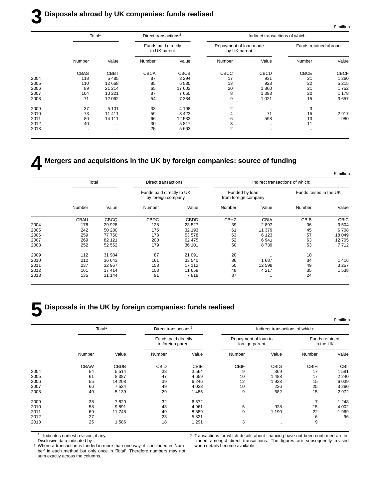### **3 Disposals abroad by UK companies: funds realised**

£ million

|      | Total <sup>1</sup><br>Direct transactions <sup>2</sup> |             | Indirect transactions of which:     |             |                                        |               |                       |             |
|------|--------------------------------------------------------|-------------|-------------------------------------|-------------|----------------------------------------|---------------|-----------------------|-------------|
|      |                                                        |             | Funds paid directly<br>to UK parent |             | Repayment of loan made<br>by UK parent |               | Funds retained abroad |             |
|      | Number                                                 | Value       | Number                              | Value       | Number                                 | Value         | Number                | Value       |
|      | <b>CBAS</b>                                            | <b>CBBT</b> | <b>CBCA</b>                         | <b>CBCB</b> | CBCC                                   | <b>CBCD</b>   | <b>CBCE</b>           | <b>CBCF</b> |
| 2004 | 118                                                    | 5485        | 87                                  | 3 2 9 4     | 17                                     | 931           | 21                    | 1 2 6 0     |
| 2005 | 110                                                    | 12 668      | 85                                  | 6 5 3 0     | 13                                     | 923           | 22                    | 5 2 1 5     |
| 2006 | 89                                                     | 21 214      | 65                                  | 17 602      | 20                                     | 1860          | 21                    | 1752        |
| 2007 | 104                                                    | 10 221      | 87                                  | 7650        | 8                                      | 1 3 9 3       | 20                    | 1 1 7 8     |
| 2008 | 71                                                     | 12 062      | 54                                  | 7 3 8 4     | 9                                      | 1021          | 15                    | 3657        |
| 2009 | 37                                                     | 5 1 0 1     | 33                                  | 4 1 9 8     | 2                                      | $\cdot\cdot$  | 3                     |             |
| 2010 | 73                                                     | 11 411      | 59                                  | 8 4 2 3     |                                        | 71            | 15                    | 2917        |
| 2011 | 80                                                     | 14 111      | 66                                  | 12 533      | 6                                      | 598           | 13                    | 980         |
| 2012 | 40                                                     | $\ddotsc$   | 30                                  | 5817        | 3                                      | $\sim$ $\sim$ | 11                    | $\ldots$    |
| 2013 | $\sim$ $\sim$                                          | $\ddotsc$   | 25                                  | 5 6 6 3     | 2                                      | $\cdots$      | $\cdot$ .             |             |
|      |                                                        |             |                                     |             |                                        |               |                       |             |

**4 Mergers and acquisitions in the UK by foreign companies: source of funding**

|                      |                        | Indirect transactions of which: |                                        |             | Direct transactions <sup>2</sup>                |             | Total <sup>1</sup> |      |
|----------------------|------------------------|---------------------------------|----------------------------------------|-------------|-------------------------------------------------|-------------|--------------------|------|
|                      | Funds raised in the UK |                                 | Funded by loan<br>from foreign company |             | Funds paid directly to UK<br>by foreign company |             |                    |      |
| Value                | Number                 | Value                           | Number                                 | Value       | Number                                          | Value       | Number             |      |
| <b>CBIC</b>          | CBIB                   | CBIA                            | <b>CBHZ</b>                            | <b>CBDD</b> | <b>CBDC</b>                                     | <b>CBCQ</b> | <b>CBAU</b>        |      |
| 3504                 | 36                     | 2897                            | 39                                     | 23 5 27     | 128                                             | 29 9 28     | 178                | 2004 |
| 6708                 | 45                     | 11 379                          | 61                                     | 32 193      | 175                                             | 50 280      | 242                | 2005 |
| 18 049               | 57                     | 6 1 2 3                         | 63                                     | 53 578      | 178                                             | 77 750      | 259                | 2006 |
| 12705                | 63                     | 6941                            | 52                                     | 62 475      | 200                                             | 82 121      | 269                | 2007 |
| 7712                 | 53                     | 8739                            | 50                                     | 36 101      | 179                                             | 52 552      | 252                | 2008 |
|                      | 10                     |                                 | 20                                     | 21 091      | 87                                              | 31 984      | 112                | 2009 |
| 1416                 | 34                     | 1687                            | 36                                     | 33 540      | 161                                             | 36 643      | 212                | 2010 |
| 3 2 5 7              | 49                     | 12 598                          | 50                                     | 17 112      | 158                                             | 32 967      | 237                | 2011 |
| 1538                 | 35                     | 4 2 1 7                         | 48                                     | 11 659      | 103                                             | 17414       | 161                | 2012 |
| $\ddot{\phantom{0}}$ | 24                     |                                 | 37                                     | 7818        | 91                                              | 31 144      | 135                | 2013 |

#### **5 Disposals in the UK by foreign companies: funds realised**

|      |                    |             |                                          |             |                                        |               |                             | £ million |  |  |
|------|--------------------|-------------|------------------------------------------|-------------|----------------------------------------|---------------|-----------------------------|-----------|--|--|
|      | Total <sup>1</sup> |             | Direct transactions <sup>2</sup>         |             | Indirect transactions of which:        |               |                             |           |  |  |
|      |                    |             | Funds paid directly<br>to foreign parent |             | Repayment of loan to<br>foreign parent |               | Funds retained<br>in the UK |           |  |  |
|      | Number             | Value       | Number                                   | Value       | Number                                 | Value         | Number                      | Value     |  |  |
|      | <b>CBAW</b>        | <b>CBDB</b> | <b>CBID</b>                              | <b>CBIE</b> | <b>CBIF</b>                            | <b>CBIG</b>   | <b>CBIH</b>                 | CBII      |  |  |
| 2004 | 54                 | 5514        | 38                                       | 3564        | 9                                      | 369           | 17                          | 581       |  |  |
| 2005 | 61                 | 8 3 8 7     | 47                                       | 4 6 5 9     | 10                                     | 1488          | 17                          | 2 2 4 0   |  |  |
| 2006 | 55                 | 14 208      | 39                                       | 6 2 4 6     | 12                                     | 923           | 15                          | 6039      |  |  |
| 2007 | 66                 | 7524        | 49                                       | 4 0 38      | 10                                     | 226           | 25                          | 3 2 6 0   |  |  |
| 2008 | 49                 | 5 1 3 9     | 29                                       | 1485        | 9                                      | 682           | 15                          | 2972      |  |  |
| 2009 | 38                 | 7820        | 32                                       | 6572        |                                        |               |                             | 1 2 4 8   |  |  |
| 2010 | 58                 | 9891        | 43                                       | 4 9 6 1     | 5                                      | 928           | 15                          | 4 0 0 2   |  |  |
| 2011 | 69                 | 11748       | 49                                       | 8589        | 9                                      | 1 1 9 0       | 22                          | 969       |  |  |
| 2012 | 27                 |             | 23                                       | 5821        | $\cdot$ .                              | $\sim$ $\sim$ | 6                           | 96        |  |  |
| 2013 | 25                 | 1586        | 18                                       | 1 2 9 1     | 3                                      | $\cdot$       | 9                           | $\cdots$  |  |  |

† Indicates earliest revision, if any.

Disclosive data indicated by ..

1 Where a transaction is funded in more than one way, it is included in 'Number' in each method but only once in 'Total'. Therefore numbers may not sum exactly across the columns.

2 Transactions for which details about financing have not been confirmed are included amongst direct transactions. The figures are subsequently revised when details become available.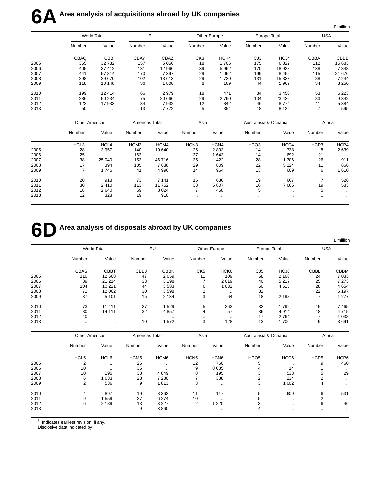# **6A** Area analysis of acquisitions abroad by UK companies

|      |                    |             |             |         |                  |         |              |         |             | £ million |
|------|--------------------|-------------|-------------|---------|------------------|---------|--------------|---------|-------------|-----------|
|      | <b>World Total</b> |             | EU          |         | Other Europe     |         | Europe Total |         | <b>USA</b>  |           |
|      | Number             | Value       | Number      | Value   | Number           | Value   | Number       | Value   | Number      | Value     |
|      | CBAQ               | <b>CBBI</b> | <b>CBAY</b> | CBAZ    | HCK <sub>3</sub> | HCK4    | HCJ3         | HCJ4    | <b>CBBA</b> | CBBB      |
| 2005 | 365                | 32 732      | 157         | 5056    | 18               | 1766    | 175          | 6822    | 112         | 15 683    |
| 2006 | 405                | 37 412      | 131         | 12 966  | 39               | 5962    | 170          | 18928   | 138         | 7 3 4 8   |
| 2007 | 441                | 57814       | 170         | 7 3 9 7 | 29               | 1 0 6 2 | 199          | 8 4 5 9 | 115         | 21 676    |
| 2008 | 298                | 29 670      | 102         | 13613   | 29               | 1720    | 131          | 15 3 33 | 88          | 7 2 4 4   |
| 2009 | 118                | 10 148      | 36          | 1800    | 8                | 169     | 44           | 1969    | 34          | 3 2 5 0   |
| 2010 | 199                | 12 4 14     | 66          | 2979    | 18               | 471     | 84           | 3 4 5 0 | 53          | 6 2 2 3   |
| 2011 | 286                | 50 234      | 75          | 20 666  | 29               | 2760    | 104          | 23 4 26 | 83          | 9 3 4 2   |
| 2012 | 122                | 17933       | 34          | 7932    | 12               | 842     | 46           | 8774    | 41          | 5 3 8 4   |
| 2013 | 50                 | $\cdot$ .   | 13          | 7772    | 5                | 354     | 18           | 8 1 2 6 | ⇁           | 595       |

|      |                  | <b>Other Americas</b> |                  | Americas Total |                  | Asia  |                  | Australasia & Oceania |               | Africa       |  |
|------|------------------|-----------------------|------------------|----------------|------------------|-------|------------------|-----------------------|---------------|--------------|--|
|      | Number           | Value                 | Number           | Value          | Number           | Value | Number           | Value                 | Number        | Value        |  |
|      | HCL <sub>3</sub> | HCL <sub>4</sub>      | HCM <sub>3</sub> | HCM4           | HCN <sub>3</sub> | HCN4  | HCO <sub>3</sub> | HCO <sub>4</sub>      | HCP3          | HCP4         |  |
| 2005 | 28               | 3 9 5 7               | 140              | 19 640         | 26               | 2893  | 14               | 738                   | 8             | 2639         |  |
| 2006 | 25               | $\ddotsc$             | 163              | $\ddotsc$      | 37               | 1643  | 14               | 692                   | 21            | $\cdot\cdot$ |  |
| 2007 | 38               | 25 040                | 153              | 46 716         | 35               | 422   | 28               | 1 306                 | 26            | 911          |  |
| 2008 | 17               | 394                   | 105              | 7638           | 29               | 809   | 22               | 5 2 2 4               | 11            | 666          |  |
| 2009 | 7                | 1746                  | 41               | 4 9 9 6        | 14               | 964   | 13               | 609                   | 6             | 1610         |  |
| 2010 | 20               | 918                   | 73               | 7 1 4 1        | 16               | 630   | 19               | 667                   |               | 526          |  |
| 2011 | 30               | 2410                  | 113              | 11 752         | 33               | 6807  | 16               | 7666                  | 19            | 583          |  |
| 2012 | 18               | 2640                  | 59               | 8 0 2 4        |                  | 458   | 5                | $\sim$ $\sim$         | 5             | $\cdots$     |  |
| 2013 | 12               | 323                   | 19               | 918            | $\ddotsc$        |       | $\sim$ $\sim$    | $\cdots$              | $\sim$ $\sim$ |              |  |

## **6D** Area analysis of disposals abroad by UK companies

|      |                    |             |             |             |                  |                  |              |           |             | £ million   |
|------|--------------------|-------------|-------------|-------------|------------------|------------------|--------------|-----------|-------------|-------------|
|      | <b>World Total</b> |             | EU          |             | Other Europe     |                  | Europe Total |           | <b>USA</b>  |             |
|      | Number             | Value       | Number      | Value       | Number           | Value            | Number       | Value     | Number      | Value       |
|      | <b>CBAS</b>        | <b>CBBT</b> | <b>CBBJ</b> | <b>CBBK</b> | HCK <sub>5</sub> | HCK <sub>6</sub> | HCJ5         | HCJ6      | <b>CBBL</b> | <b>CBBM</b> |
| 2005 | 110                | 12 668      | 47          | 2059        | 11               | 109              | 58           | 2 1 6 8   | 24          | 7033        |
| 2006 | 89                 | 21 214      | 33          | 3 1 9 8     | 7                | 2019             | 40           | 5 2 1 7   | 25          | 7 2 7 3     |
| 2007 | 104                | 10 2 21     | 44          | 3583        | 6                | 1 0 3 2          | 50           | 4615      | 28          | 4654        |
| 2008 | 71                 | 12 062      | 30          | 3598        | 2                | $\cdot$ .        | 32           | $\cdot$ . | 22          | 6 1 9 7     |
| 2009 | 37                 | 5 1 0 1     | 15          | 2 1 3 4     | 3                | 64               | 18           | 2 1 9 8   | 7           | 1 277       |
| 2010 | 73                 | 11 411      | 27          | 1529        | 5                | 263              | 32           | 1792      | 15          | 7465        |
| 2011 | 80                 | 14 111      | 32          | 4857        | 4                | 57               | 36           | 4914      | 18          | 4715        |
| 2012 | 40                 | $\cdot$ .   | $\cdot$ .   | $\cdots$    |                  | $\ddotsc$        | 17           | 2 7 6 4   |             | 1 0 3 8     |
| 2013 | $\cdot$ .          | $\cdots$    | 10          | 572         | 3                | 128              | 13           | 1700      | 9           | 3691        |

|      |                  | <b>Other Americas</b> |                  | Americas Total       |                  | Asia             |                  | Australasia & Oceania |                  | Africa        |  |
|------|------------------|-----------------------|------------------|----------------------|------------------|------------------|------------------|-----------------------|------------------|---------------|--|
|      | Number           | Value                 | Number           | Value                | Number           | Value            | Number           | Value                 | Number           | Value         |  |
|      | HCL <sub>5</sub> | HCL6                  | HCM <sub>5</sub> | HCM <sub>6</sub>     | HCN <sub>5</sub> | HCN <sub>6</sub> | HCO <sub>5</sub> | HCO <sub>6</sub>      | HCP <sub>5</sub> | HCP6          |  |
| 2005 | ◠                |                       | 26               |                      | 12               | 760              | 5                | $\ddotsc$             | 9                | 460           |  |
| 2006 | 10               | $\cdot$ .             | 35               | $\ddot{\phantom{0}}$ | 9                | 8 0 8 5          |                  | 14                    |                  |               |  |
| 2007 | 10               | 195                   | 38               | 4849                 | 8                | 195              |                  | 533                   | 5                | 29            |  |
| 2008 | 6                | 1 033                 | 28               | 7 2 3 0              |                  | 388              |                  | 234                   |                  | $\sim$ $\sim$ |  |
| 2009 | $\overline{2}$   | 536                   | 9                | 1813                 | 3                | $\cdots$         | 3                | 1 0 0 2               | 4                | $\ldots$      |  |
| 2010 | 4                | 897                   | 19               | 8 3 6 2              | 11               | 117              | 5                | 609                   | 6                | 531           |  |
| 2011 | 9                | 559                   | 27               | 6 2 7 4              | 10               | $\cdot$ .        |                  | $\sim$ $\sim$         |                  | $\cdot$ .     |  |
| 2012 | 6                | 2 1 8 9               | 13               | 3 2 2 7              | 2                | 220              |                  | $\cdots$              | 6                | 46            |  |
| 2013 |                  |                       | 9                | 3860                 | $\cdot$ .        | $\cdots$         | 4                | $\cdots$              | $\cdot$ .        |               |  |

 $<sup>†</sup>$  Indicates earliest revision, if any.</sup>

Disclosive data indicated by ..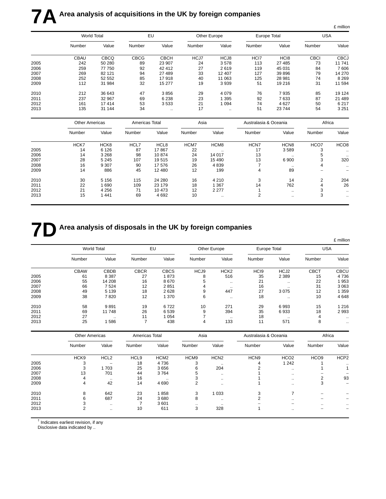# **7A** Area analysis of acquisitions in the UK by foreign companies

|      |                    |             |             |             |              |          |              |                  |             | £ million   |
|------|--------------------|-------------|-------------|-------------|--------------|----------|--------------|------------------|-------------|-------------|
|      | <b>World Total</b> |             | EU          |             | Other Europe |          | Europe Total |                  | <b>USA</b>  |             |
|      | Number             | Value       | Number      | Value       | Number       | Value    | Number       | Value            | Number      | Value       |
|      | <b>CBAU</b>        | <b>CBCQ</b> | <b>CBCG</b> | <b>CBCH</b> | HCJ7         | HCJ8     | HCI7         | HC <sub>18</sub> | <b>CBCI</b> | <b>CBCJ</b> |
| 2005 | 242                | 50 280      | 89          | 23 907      | 24           | 3578     | 113          | 27 485           | 73          | 11741       |
| 2006 | 259                | 77 750      | 92          | 42 412      | 27           | 2619     | 119          | 45 031           | 84          | 7606        |
| 2007 | 269                | 82 121      | 94          | 27 489      | 33           | 12 407   | 127          | 39 896           | 79          | 14 270      |
| 2008 | 252                | 52 552      | 85          | 17918       | 40           | 11 063   | 125          | 28 981           | 74          | 8 2 6 9     |
| 2009 | 112                | 31 984      | 32          | 15 277      | 19           | 3939     | 51           | 19 216           | 31          | 11 594      |
| 2010 | 212                | 36 643      | 47          | 3856        | 29           | 4079     | 76           | 7935             | 85          | 19 124      |
| 2011 | 237                | 32 967      | 69          | 6 2 3 8     | 23           | 1 3 9 5  | 92           | 7633             | 87          | 21 489      |
| 2012 | 161                | 17414       | 53          | 3533        | 21           | 1094     | 74           | 4 6 2 7          | 50          | 6 2 1 7     |
| 2013 | 135                | 31 144      | 34          | $\cdots$    | 17           | $\cdots$ | 51           | 23 744           | 54          | 3 2 5 1     |

|      |        | <b>Other Americas</b> |        | Americas Total |        | Asia      |        | Australasia & Oceania |        | Africa           |  |
|------|--------|-----------------------|--------|----------------|--------|-----------|--------|-----------------------|--------|------------------|--|
|      | Number | Value                 | Number | Value          | Number | Value     | Number | Value                 | Number | Value            |  |
|      | HCK7   | HCK8                  | HCL7   | HCL8           | HCM7   | HCM8      | HCN7   | HCN <sub>8</sub>      | HCO7   | HCO <sub>8</sub> |  |
| 2005 | 14     | 6 1 2 6               | 87     | 17867          | 22     | $\cdot$ . | 17     | 3589                  | 3      | $\cdots$         |  |
| 2006 | 14     | 3 2 6 8               | 98     | 10874          | 24     | 14 017    | 13     | $\ddotsc$             | 5      | $\ddotsc$        |  |
| 2007 | 28     | 5 2 4 5               | 107    | 19515          | 19     | 15 490    | 13     | 6 900                 | 3      | 320              |  |
| 2008 | 16     | 9 3 0 7               | 90     | 17 576         | 26     | 4 8 3 9   |        | $\cdot$ .             | 4      | $\sim$ $\sim$    |  |
| 2009 | 14     | 886                   | 45     | 12 480         | 12     | 199       | 4      | 89                    |        |                  |  |
| 2010 | 30     | 5 1 5 6               | 115    | 24 280         | 16     | 4 2 1 0   | 3      | 14                    | 2      | 204              |  |
| 2011 | 22     | 690                   | 109    | 23 179         | 18     | 1 367     | 14     | 762                   | 4      | 26               |  |
| 2012 | 21     | 4 2 5 6               | 71     | 10 473         | 12     | 2 2 7 7   |        | $\ddotsc$             | 3      | $\cdots$         |  |
| 2013 | 15     | 1441                  | 69     | 4 6 9 2        | 10     | $\cdot$ . | 2      | $\cdot$ .             | 3      | $\cdots$         |  |

## **7D** Area analysis of disposals in the UK by foreign companies

|      |                    |             |             |             |        |                  |                  |                  |             | £ million   |  |
|------|--------------------|-------------|-------------|-------------|--------|------------------|------------------|------------------|-------------|-------------|--|
|      | <b>World Total</b> |             | EU          |             |        | Other Europe     |                  | Europe Total     |             | <b>USA</b>  |  |
|      | Number             | Value       | Number      | Value       | Number | Value            | Number           | Value            | Number      | Value       |  |
|      | <b>CBAW</b>        | <b>CBDB</b> | <b>CBCR</b> | <b>CBCS</b> | HCJ9   | HCK <sub>2</sub> | HC <sub>I9</sub> | HCJ <sub>2</sub> | <b>CBCT</b> | <b>CBCU</b> |  |
| 2005 | 61                 | 8 3 8 7     | 27          | 1873        | 8      | 516              | 35               | 2 3 8 9          | 15          | 4736        |  |
| 2006 | 55                 | 14 208      | 16          | 8670        | 5      | $\ddotsc$        | 21               |                  | 22          | 1953        |  |
| 2007 | 66                 | 7524        | 12          | 2851        | 4      | $\cdot$ .        | 16               | $\cdot$ .        | 31          | 3 0 6 3     |  |
| 2008 | 49                 | 5 1 3 9     | 18          | 2628        | 9      | 447              | 27               | 3075             | 12          | 1 359       |  |
| 2009 | 38                 | 7820        | 12          | 1 370       | 6      | $\cdot$ .        | 18               |                  | 10          | 4648        |  |
| 2010 | 58                 | 9891        | 19          | 6722        | 10     | 271              | 29               | 6993             | 15          | 1 2 1 6     |  |
| 2011 | 69                 | 11748       | 26          | 6539        | 9      | 394              | 35               | 6933             | 18          | 2993        |  |
| 2012 | 27                 | $\cdot$ .   | 11          | 1 0 5 4     |        | $\cdot$ .        | 18               | $\cdot$ .        |             |             |  |
| 2013 | 25                 | 586         |             | 438         | 4      | 133              | 11               | 571              | 8           |             |  |

|      | <b>Other Americas</b> |                  | Americas Total   |                  | Asia             |                  | Australasia & Oceania |                  | Africa           |                  |
|------|-----------------------|------------------|------------------|------------------|------------------|------------------|-----------------------|------------------|------------------|------------------|
|      | Number                | Value            | Number           | Value            | Number           | Value            | Number                | Value            | Number           | Value            |
|      | HCK <sub>9</sub>      | HCL <sub>2</sub> | HCL <sub>9</sub> | HCM <sub>2</sub> | HCM <sub>9</sub> | HCN <sub>2</sub> | HCN <sub>9</sub>      | HCO <sub>2</sub> | HCO <sub>9</sub> | HCP <sub>2</sub> |
| 2005 |                       |                  | 18               | 4736             |                  | $\cdot$ .        |                       | 1 2 4 2          |                  | $\cdot$ .        |
| 2006 | 3                     | 1703             | 25               | 3656             | b                | 204              |                       | $\cdots$         |                  |                  |
| 2007 | 13                    | 701              | 44               | 3764             |                  | $\sim$ $\sim$    |                       | $\sim$ $\sim$    |                  |                  |
| 2008 |                       | $\cdot$ .        | 16               | $\ddotsc$        |                  | $\cdots$         |                       | $\cdots$         | ◠                | 93               |
| 2009 | 4                     | 42               | 14               | 4690             |                  | $\ddotsc$        |                       | $\sim$ $\sim$    | 3                |                  |
| 2010 | 8                     | 642              | 23               | 1858             | 3                | 1 0 3 3          | ົ                     |                  |                  |                  |
| 2011 | 6                     | 687              | 24               | 3680             | 8                | $\cdots$         |                       | $\cdots$         |                  |                  |
| 2012 |                       | $\ddotsc$        |                  | 3601             | $\cdot$ .        | $\cdot$ .        |                       |                  |                  |                  |
| 2013 | $\overline{2}$        | $\cdot$ .        | 10               | 611              | 3                | 328              |                       | $\cdots$         |                  |                  |

† Indicates earliest revision, if any

Disclosive data indicated by ..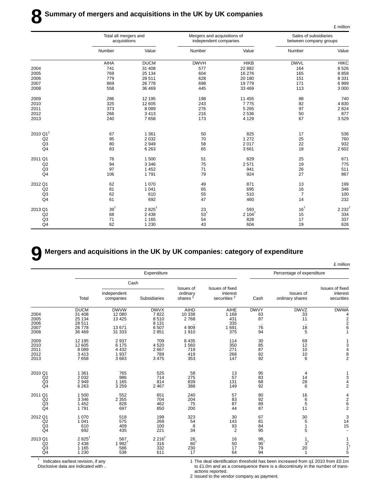|                      | Total all mergers and<br>acquisitions |                  | Mergers and acquisitions of<br>independent companies |                  | Sales of subsidiaries<br>between company groups |                  |
|----------------------|---------------------------------------|------------------|------------------------------------------------------|------------------|-------------------------------------------------|------------------|
|                      | Number                                | Value            | Number                                               | Value            | Number                                          | Value            |
|                      | <b>AIHA</b>                           | <b>DUCM</b>      | <b>DWVH</b>                                          | <b>HIKB</b>      | <b>DWVL</b>                                     | <b>HIKC</b>      |
| 2004                 | 741                                   | 31 408           | 577                                                  | 22 882           | 164                                             | 8526             |
| 2005                 | 769                                   | 25 134           | 604                                                  | 16 276           | 165                                             | 8858             |
| 2006                 | 779                                   | 28 511           | 628                                                  | 20 180           | 151                                             | 8 3 3 1          |
| 2007                 | 869                                   | 26 778           | 698                                                  | 19779            | 171                                             | 6999             |
| 2008                 | 558                                   | 36 469           | 445                                                  | 33 469           | 113                                             | 3 0 0 0          |
| 2009                 | 286                                   | 12 195           | 198                                                  | 11 455           | 88                                              | 740              |
| 2010                 | 325                                   | 12 605           | 243                                                  | 7775             | 82                                              | 4 8 3 0          |
| 2011                 | 373                                   | 8089             | 276                                                  | 5 2 6 5          | 97                                              | 2 8 2 4          |
| 2012                 | 266                                   | 3413             | 216                                                  | 2 5 3 6          | 50                                              | 877              |
| 2013                 | 240                                   | 7658             | 173                                                  | 4 1 2 9          | 67                                              | 3529             |
| 2010 Q1 <sup>1</sup> |                                       |                  |                                                      |                  |                                                 |                  |
|                      | 67                                    | 1 3 6 1          | 50                                                   | 825              | 17                                              | 536              |
| Q2                   | 95                                    | 2 0 3 2          | 70                                                   | 1 2 7 2          | 25                                              | 760<br>932       |
| Q <sub>3</sub>       | 80                                    | 2949<br>6 2 6 3  | 58                                                   | 2017<br>3661     | 22                                              |                  |
| Q4                   | 83                                    |                  | 65                                                   |                  | 18                                              | 2 602            |
| 2011 Q1              | 76                                    | 1500             | 51                                                   | 829              | 25                                              | 671              |
| Q2                   | 94                                    | 3 3 4 6          | 75                                                   | 2571             | 19                                              | 775              |
| Q <sub>3</sub>       | 97                                    | 1 4 5 2          | 71                                                   | 941              | 26                                              | 511              |
| Q <sub>4</sub>       | 106                                   | 1791             | 79                                                   | 924              | 27                                              | 867              |
| 2012 Q1              | 62                                    | 1 0 7 0          | 49                                                   | 871              | 13                                              | 199              |
| Q2                   | 81                                    | 1 0 4 1          | 65                                                   | 695              | 16                                              | 346              |
| Q <sub>3</sub>       | 62                                    | 610              | 55                                                   | 510              | $\overline{7}$                                  | 100              |
| Q <sub>4</sub>       | 61                                    | 692              | 47                                                   | 460              | 14                                              | 232              |
| 2013 Q1              | 39 <sup>†</sup>                       | $2825^{\dagger}$ | 23                                                   | 593              | 16 <sup>†</sup>                                 | $2232^{\dagger}$ |
| Q2                   | 68                                    | 2 4 3 8          | $53^{\dagger}$                                       | $2104^{\dagger}$ | 15                                              | 334              |
| Q <sub>3</sub>       | 71                                    | 1 1 6 5          | 54                                                   | 828              | 17                                              | 337              |
| Q <sub>4</sub>       | 62                                    | 1 2 3 0          | 43                                                   | 604              | 19                                              | 626              |

#### **9 Mergers and acquisitions in the UK by UK companies: category of expenditure**

|                                                   |                                                               |                                                      |                                                        |                                              |                                                        |                                          |                                    | £ million                                                                          |
|---------------------------------------------------|---------------------------------------------------------------|------------------------------------------------------|--------------------------------------------------------|----------------------------------------------|--------------------------------------------------------|------------------------------------------|------------------------------------|------------------------------------------------------------------------------------|
|                                                   |                                                               |                                                      | Expenditure                                            |                                              |                                                        |                                          | Percentage of expenditure          |                                                                                    |
|                                                   |                                                               |                                                      | Cash                                                   |                                              |                                                        |                                          |                                    |                                                                                    |
|                                                   | Total                                                         | Independent<br>companies                             | <b>Subsidiaries</b>                                    | Issues of<br>ordinary<br>shares <sup>2</sup> | Issues of fixed<br>interest<br>securities <sup>2</sup> | Cash                                     | Issues of<br>ordinary shares       | Issues of fixed<br>interest<br>securities                                          |
| 2004<br>2005<br>2006<br>2007<br>2008              | <b>DUCM</b><br>31 408<br>25 134<br>28 511<br>26 778<br>36 469 | <b>DWVW</b><br>12 080<br>13 4 25<br>13 671<br>31 333 | <b>DWVX</b><br>7822<br>8510<br>8 1 3 1<br>6507<br>2851 | AIHD<br>10 338<br>2768<br>4 9 0 9<br>1910    | AIHE<br>1 1 6 8<br>431<br>335<br>1691<br>375           | <b>DWVY</b><br>63<br>87<br>76<br>94      | <b>DWVZ</b><br>33<br>11<br>18<br>5 | <b>DWWA</b><br>4<br>$\begin{array}{c}\n 2 \\ 2 \\ 6\n \end{array}$<br>$\mathbf{1}$ |
| 2009<br>2010<br>2011<br>2012<br>2013              | 12 195<br>12 605<br>8 0 8 9<br>3413<br>7658                   | 2937<br>6 175<br>4 4 3 2<br>1937<br>3683             | 709<br>4520<br>2667<br>789<br>3 4 7 5                  | 8 4 3 5<br>1 5 6 0<br>719<br>419<br>353      | 114<br>350<br>271<br>268<br>147                        | 30<br>85<br>87<br>82<br>92               | 69<br>12<br>10<br>10<br>6          | $1348$<br>2                                                                        |
| 2010 Q1<br>Q2<br>Q <sub>3</sub><br>Q4             | 1 3 6 1<br>2 0 3 2<br>2 9 4 9<br>6 2 6 3                      | 765<br>986<br>1 1 6 5<br>3 2 5 9                     | 525<br>714<br>814<br>2 4 6 7                           | 58<br>275<br>839<br>388                      | 13<br>57<br>131<br>149                                 | 95<br>83<br>68<br>92                     | 4<br>14<br>$\frac{28}{6}$          | $\frac{1}{3}$ 4 2                                                                  |
| 2011 Q1<br>Q2<br>Q <sub>3</sub><br>Q <sub>4</sub> | 1500<br>3 3 4 6<br>1 4 5 2<br>1791                            | 552<br>2 3 5 5<br>828<br>697                         | 651<br>704<br>462<br>850                               | 240<br>204<br>75<br>200                      | 57<br>83<br>87<br>44                                   | $^{80}_{92}$<br>89<br>87                 | 16<br>6<br>5<br>11                 | $\frac{4}{2}$ 6 2                                                                  |
| 2012 Q1<br>Q2<br>Q3<br>Q <sub>4</sub>             | 1 0 7 0<br>1 0 4 1<br>610<br>692                              | 518<br>575<br>409<br>435                             | 199<br>269<br>100<br>221                               | 323<br>54<br>$\bf{8}$<br>34                  | 30<br>143<br>93<br>$\overline{2}$                      | 67<br>81<br>84<br>95                     | 30<br>5<br>$\mathbf{1}$<br>5       | $\begin{array}{c} 3 \\ 14 \\ 15 \end{array}$<br>$\overline{a}$                     |
| 2013 Q1<br>Q2<br>Q <sub>3</sub><br>Q <sub>4</sub> | $2825^{\dagger}$<br>2 4 3 8<br>1 1 6 5<br>1 2 3 0             | 567<br>$1.992^{t}$<br>586<br>538                     | $2216^{\dagger}$<br>316<br>332<br>611                  | 26<br>80 <sup>†</sup><br>230<br>17           | 16<br>50<br>17<br>64                                   | $\frac{98}{95}$ <sup>†</sup><br>79<br>94 | $\frac{1}{3}^{1}$<br>20<br>1       | 1<br>$\frac{2}{1}$ <sup>+</sup>                                                    |

† Indicates earliest revision, if any

Disclosive data are indicated with ..

1 The deal identification threshold has been increased from q1 2010 from £0.1m to £1.0m and as a consequence there is a discontinuity in the number of transactions reported.

2 Issued to the vendor company as payment.

£ million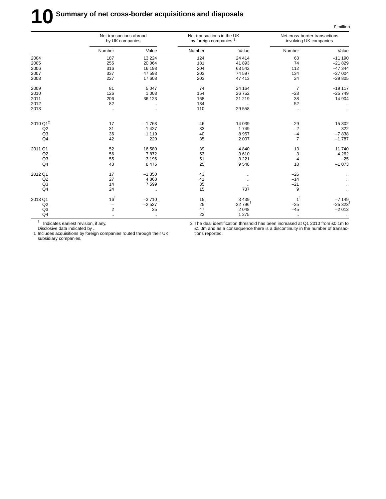# **10** Summary of net cross-border acquisitions and disposals

|                      | Net transactions abroad<br>by UK companies |                      | Net transactions in the UK<br>by foreign companies <sup>1</sup> |                     | Net cross-border transactions<br>involving UK companies |                       |
|----------------------|--------------------------------------------|----------------------|-----------------------------------------------------------------|---------------------|---------------------------------------------------------|-----------------------|
|                      | Number                                     | Value                | Number                                                          | Value               | Number                                                  | Value                 |
| 2004                 | 187                                        | 13 2 24              | 124                                                             | 24 4 14             | 63                                                      | $-11190$              |
| 2005                 | 255                                        | 20 064               | 181                                                             | 41 893              | 74                                                      | $-21829$              |
| 2006                 | 316                                        | 16 198               | 204                                                             | 63 542              | 112                                                     | $-47344$              |
| 2007                 | 337                                        | 47 593               | 203                                                             | 74 597              | 134                                                     | $-27004$              |
| 2008                 | 227                                        | 17608                | 203                                                             | 47 413              | 24                                                      | $-29805$              |
| 2009                 | 81                                         | 5 0 4 7              | 74                                                              | 24 164              | $\overline{7}$                                          | $-19117$              |
| 2010                 | 126                                        | 1 0 0 3              | 154                                                             | 26 752              | $-28$                                                   | $-25749$              |
| 2011                 | 206                                        | 36 123               | 168                                                             | 21 219              | 38                                                      | 14 904                |
| 2012                 | 82                                         | $\ddotsc$            | 134                                                             |                     | $-52$                                                   | $\ddotsc$             |
| 2013                 | $\ddotsc$                                  | $\ddotsc$            | 110                                                             | 29 5 58             | $\ddotsc$                                               |                       |
| 2010 Q1 <sup>2</sup> | 17                                         | $-1763$              | 46                                                              | 14 039              | $-29$                                                   | $-15802$              |
| Q2                   | 31                                         | 1 4 2 7              | 33                                                              | 1749                | $-2$                                                    | $-322$                |
| Q <sub>3</sub>       | 36                                         | 1 1 1 9              | 40                                                              | 8 9 5 7             | $-4$                                                    | $-7838$               |
| Q <sub>4</sub>       | 42                                         | 220                  | 35                                                              | 2 0 0 7             | $\overline{7}$                                          | $-1787$               |
| 2011 Q1              | 52                                         | 16 580               | 39                                                              | 4 8 4 0             | 13                                                      | 11740                 |
| Q2                   | 56                                         | 7872                 | 53                                                              | 3610                | 3                                                       | 4 2 6 2               |
| Q <sub>3</sub>       | 55                                         | 3 1 9 6              | 51                                                              | 3 2 2 1             | $\overline{4}$                                          | $-25$                 |
| Q <sub>4</sub>       | 43                                         | 8 4 7 5              | 25                                                              | 9548                | 18                                                      | $-1073$               |
| 2012 Q1              | 17                                         | $-1350$              | 43                                                              | $\ddotsc$           | $-26$                                                   |                       |
| Q2                   | 27                                         | 4 8 6 8              | 41                                                              | $\ddotsc$           | $-14$                                                   |                       |
| Q <sub>3</sub>       | 14                                         | 7 5 9 9              | 35                                                              | $\ddotsc$           | $-21$                                                   | $\ldots$              |
| Q <sub>4</sub>       | 24                                         | $\ldots$             | 15                                                              | 737                 | 9                                                       | $\ldots$              |
| 2013 Q1              | 16 <sup>†</sup>                            | $-3710$              | 15                                                              | 3 4 3 9             | $1^{\dagger}$                                           | $-7149$               |
| Q2                   | $\qquad \qquad -$                          | $-2527$ <sup>t</sup> | $25^{\dagger}$                                                  | 22 796 <sup>t</sup> | $-25$                                                   | $-25323$ <sup>†</sup> |
| Q <sub>3</sub>       | $\overline{2}$                             | 35                   | 47                                                              | 2 0 4 8             | $-45$                                                   | $-2013$               |
| Q <sub>4</sub>       | $\ddotsc$                                  | $\ldots$             | 23                                                              | 1 2 7 5             | $\ddotsc$                                               |                       |

† Indicates earliest revision, if any.

2 The deal identification threshold has been increased at Q1 2010 from £0.1m to £1.0m and as a consequence there is a discontinuity in the number of transactions reported.

£ million

Disclosive data indicated by .. 1 Includes acquisitions by foreign companies routed through their UK subsidiary companies.